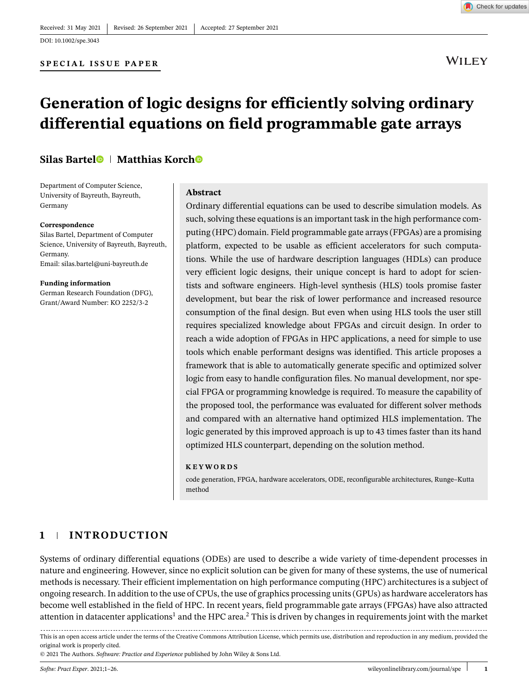**WILEY** 

# **Generation of logic designs for efficiently solving ordinary differential equations on field programmable gate arrays**

# **Silas Barte[l](https://orcid.org/0000-0003-0771-3508) Matthias Korc[h](https://orcid.org/0000-0001-7267-0378)**

Department of Computer Science, University of Bayreuth, Bayreuth, Germany

#### **Correspondence**

Silas Bartel, Department of Computer Science, University of Bayreuth, Bayreuth, Germany. Email: silas.bartel@uni-bayreuth.de

**Funding information** German Research Foundation (DFG), Grant/Award Number: KO 2252/3-2

#### **Abstract**

Ordinary differential equations can be used to describe simulation models. As such, solving these equations is an important task in the high performance computing (HPC) domain. Field programmable gate arrays (FPGAs) are a promising platform, expected to be usable as efficient accelerators for such computations. While the use of hardware description languages (HDLs) can produce very efficient logic designs, their unique concept is hard to adopt for scientists and software engineers. High-level synthesis (HLS) tools promise faster development, but bear the risk of lower performance and increased resource consumption of the final design. But even when using HLS tools the user still requires specialized knowledge about FPGAs and circuit design. In order to reach a wide adoption of FPGAs in HPC applications, a need for simple to use tools which enable performant designs was identified. This article proposes a framework that is able to automatically generate specific and optimized solver logic from easy to handle configuration files. No manual development, nor special FPGA or programming knowledge is required. To measure the capability of the proposed tool, the performance was evaluated for different solver methods and compared with an alternative hand optimized HLS implementation. The logic generated by this improved approach is up to 43 times faster than its hand optimized HLS counterpart, depending on the solution method.

#### **KEYWORDS**

code generation, FPGA, hardware accelerators, ODE, reconfigurable architectures, Runge–Kutta method

# **1 INTRODUCTION**

Systems of ordinary differential equations (ODEs) are used to describe a wide variety of time-dependent processes in nature and engineering. However, since no explicit solution can be given for many of these systems, the use of numerical methods is necessary. Their efficient implementation on high performance computing (HPC) architectures is a subject of ongoing research. In addition to the use of CPUs, the use of graphics processing units (GPUs) as hardware accelerators has become well established in the field of HPC. In recent years, field programmable gate arrays (FPGAs) have also attracted attention in datacenter applications<sup>1</sup> and the HPC area.<sup>2</sup> This is driven by changes in requirements joint with the market

This is an open access article under the terms of the [Creative Commons Attribution](http://creativecommons.org/licenses/by/4.0/) License, which permits use, distribution and reproduction in any medium, provided the original work is properly cited.

© 2021 The Authors. *Software: Practice and Experience* published by John Wiley & Sons Ltd.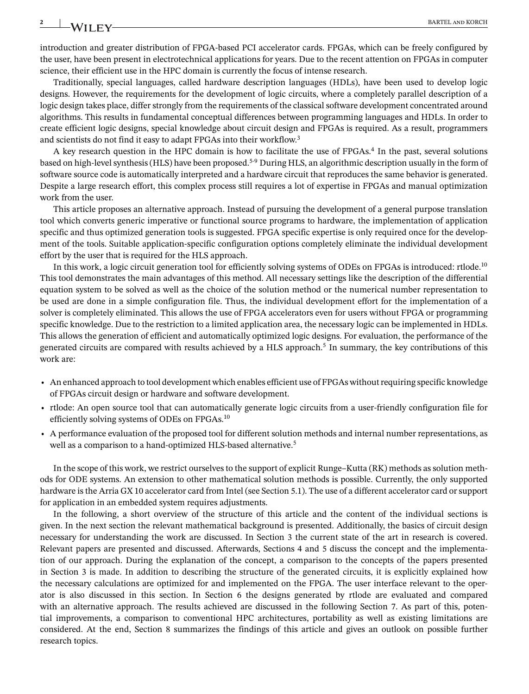# introduction and greater distribution of FPGA-based PCI accelerator cards. FPGAs, which can be freely configured by the user, have been present in electrotechnical applications for years. Due to the recent attention on FPGAs in computer science, their efficient use in the HPC domain is currently the focus of intense research.

Traditionally, special languages, called hardware description languages (HDLs), have been used to develop logic designs. However, the requirements for the development of logic circuits, where a completely parallel description of a logic design takes place, differ strongly from the requirements of the classical software development concentrated around algorithms. This results in fundamental conceptual differences between programming languages and HDLs. In order to create efficient logic designs, special knowledge about circuit design and FPGAs is required. As a result, programmers and scientists do not find it easy to adapt FPGAs into their workflow.<sup>3</sup>

A key research question in the HPC domain is how to facilitate the use of FPGAs.<sup>4</sup> In the past, several solutions based on high-level synthesis (HLS) have been proposed.5-9 During HLS, an algorithmic description usually in the form of software source code is automatically interpreted and a hardware circuit that reproduces the same behavior is generated. Despite a large research effort, this complex process still requires a lot of expertise in FPGAs and manual optimization work from the user.

This article proposes an alternative approach. Instead of pursuing the development of a general purpose translation tool which converts generic imperative or functional source programs to hardware, the implementation of application specific and thus optimized generation tools is suggested. FPGA specific expertise is only required once for the development of the tools. Suitable application-specific configuration options completely eliminate the individual development effort by the user that is required for the HLS approach.

In this work, a logic circuit generation tool for efficiently solving systems of ODEs on FPGAs is introduced: rtlode.<sup>10</sup> This tool demonstrates the main advantages of this method. All necessary settings like the description of the differential equation system to be solved as well as the choice of the solution method or the numerical number representation to be used are done in a simple configuration file. Thus, the individual development effort for the implementation of a solver is completely eliminated. This allows the use of FPGA accelerators even for users without FPGA or programming specific knowledge. Due to the restriction to a limited application area, the necessary logic can be implemented in HDLs. This allows the generation of efficient and automatically optimized logic designs. For evaluation, the performance of the generated circuits are compared with results achieved by a HLS approach.5 In summary, the key contributions of this work are:

- **•** An enhanced approach to tool development which enables efficient use of FPGAs without requiring specific knowledge of FPGAs circuit design or hardware and software development.
- **•** rtlode: An open source tool that can automatically generate logic circuits from a user-friendly configuration file for efficiently solving systems of ODEs on FPGAs.10
- **•** A performance evaluation of the proposed tool for different solution methods and internal number representations, as well as a comparison to a hand-optimized HLS-based alternative.<sup>5</sup>

In the scope of this work, we restrict ourselves to the support of explicit Runge–Kutta (RK) methods as solution methods for ODE systems. An extension to other mathematical solution methods is possible. Currently, the only supported hardware is the Arria GX 10 accelerator card from Intel (see Section 5.1). The use of a different accelerator card or support for application in an embedded system requires adjustments.

In the following, a short overview of the structure of this article and the content of the individual sections is given. In the next section the relevant mathematical background is presented. Additionally, the basics of circuit design necessary for understanding the work are discussed. In Section 3 the current state of the art in research is covered. Relevant papers are presented and discussed. Afterwards, Sections 4 and 5 discuss the concept and the implementation of our approach. During the explanation of the concept, a comparison to the concepts of the papers presented in Section 3 is made. In addition to describing the structure of the generated circuits, it is explicitly explained how the necessary calculations are optimized for and implemented on the FPGA. The user interface relevant to the operator is also discussed in this section. In Section 6 the designs generated by rtlode are evaluated and compared with an alternative approach. The results achieved are discussed in the following Section 7. As part of this, potential improvements, a comparison to conventional HPC architectures, portability as well as existing limitations are considered. At the end, Section 8 summarizes the findings of this article and gives an outlook on possible further research topics.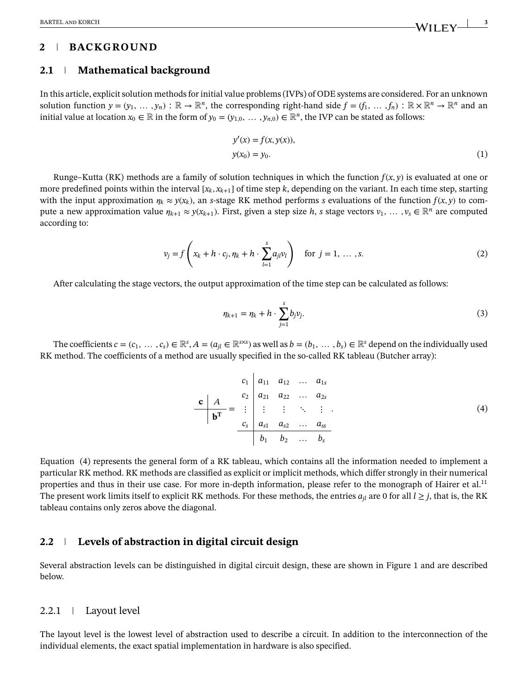# **2 BACKGROUND**

#### **2.1 Mathematical background**

In this article, explicit solution methods for initial value problems (IVPs) of ODE systems are considered. For an unknown solution function  $y = (y_1, \ldots, y_n) : \mathbb{R} \to \mathbb{R}^n$ , the corresponding right-hand side  $f = (f_1, \ldots, f_n) : \mathbb{R} \times \mathbb{R}^n \to \mathbb{R}^n$  and an initial value at location  $x_0 \in \mathbb{R}$  in the form of  $y_0 = (y_{1,0}, \ldots, y_{n,0}) \in \mathbb{R}^n$ , the IVP can be stated as follows:

$$
y'(x) = f(x, y(x)),
$$
  
y(x<sub>0</sub>) = y<sub>0</sub>. (1)

Runge–Kutta (RK) methods are a family of solution techniques in which the function  $f(x, y)$  is evaluated at one or more predefined points within the interval  $[x_k, x_{k+1}]$  of time step k, depending on the variant. In each time step, starting with the input approximation  $\eta_k \approx y(x_k)$ , an *s*-stage RK method performs *s* evaluations of the function  $f(x, y)$  to compute a new approximation value  $\eta_{k+1} \approx y(x_{k+1})$ . First, given a step size *h*, *s* stage vectors  $v_1, \ldots, v_s \in \mathbb{R}^n$  are computed according to:

$$
v_j = f\left(x_k + h \cdot c_j, \eta_k + h \cdot \sum_{l=1}^s a_{jl} v_l\right)
$$
 for  $j = 1, ..., s$ . (2)

After calculating the stage vectors, the output approximation of the time step can be calculated as follows:

$$
\eta_{k+1} = \eta_k + h \cdot \sum_{j=1}^{s} b_j v_j.
$$
 (3)

The coefficients  $c = (c_1, \ldots, c_s) \in \mathbb{R}^s$ ,  $A = (a_{jl} \in \mathbb{R}^{s \times s})$  as well as  $b = (b_1, \ldots, b_s) \in \mathbb{R}^s$  depend on the individually used RK method. The coefficients of a method are usually specified in the so-called RK tableau (Butcher array):

$$
\begin{array}{c|cccc}\n & c_1 & a_{11} & a_{12} & \dots & a_{1s} \\
\hline\n\mathbf{c} & A & c_2 & a_{21} & a_{22} & \dots & a_{2s} \\
\hline\n\mathbf{b}^T & = & \vdots & \vdots & \vdots & \ddots & \vdots \\
\hline\n\end{array}
$$
\n
$$
(4)
$$
\n
$$
\frac{c_s}{b_1} \quad \begin{array}{c|cccc}\n a_{s1} & a_{s2} & \dots & a_{ss} \\
 \hline\n b_1 & b_2 & \dots & b_s\n\end{array}
$$

Equation (4) represents the general form of a RK tableau, which contains all the information needed to implement a particular RK method. RK methods are classified as explicit or implicit methods, which differ strongly in their numerical properties and thus in their use case. For more in-depth information, please refer to the monograph of Hairer et al.<sup>11</sup> The present work limits itself to explicit RK methods. For these methods, the entries  $a_{il}$  are 0 for all  $l \geq j$ , that is, the RK tableau contains only zeros above the diagonal.

#### **2.2 Levels of abstraction in digital circuit design**

Several abstraction levels can be distinguished in digital circuit design, these are shown in Figure 1 and are described below.

#### 2.2.1 Layout level

The layout level is the lowest level of abstraction used to describe a circuit. In addition to the interconnection of the individual elements, the exact spatial implementation in hardware is also specified.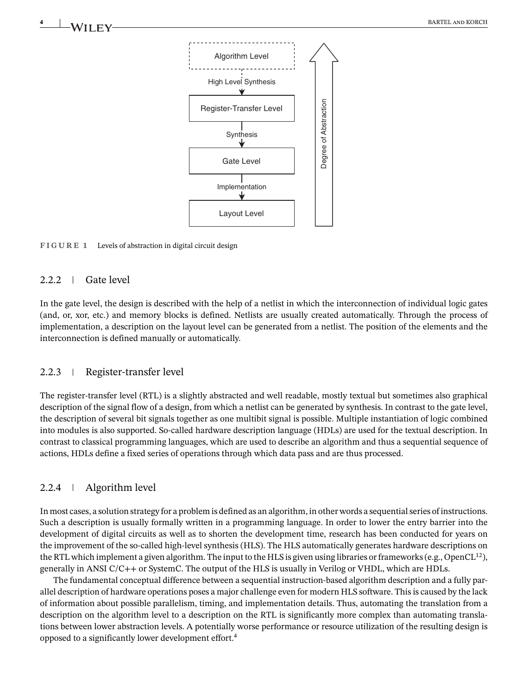

**FIGURE 1** Levels of abstraction in digital circuit design

#### 2.2.2 | Gate level

In the gate level, the design is described with the help of a netlist in which the interconnection of individual logic gates (and, or, xor, etc.) and memory blocks is defined. Netlists are usually created automatically. Through the process of implementation, a description on the layout level can be generated from a netlist. The position of the elements and the interconnection is defined manually or automatically.

#### 2.2.3 | Register-transfer level

The register-transfer level (RTL) is a slightly abstracted and well readable, mostly textual but sometimes also graphical description of the signal flow of a design, from which a netlist can be generated by synthesis. In contrast to the gate level, the description of several bit signals together as one multibit signal is possible. Multiple instantiation of logic combined into modules is also supported. So-called hardware description language (HDLs) are used for the textual description. In contrast to classical programming languages, which are used to describe an algorithm and thus a sequential sequence of actions, HDLs define a fixed series of operations through which data pass and are thus processed.

#### 2.2.4 | Algorithm level

In most cases, a solution strategy for a problem is defined as an algorithm, in other words a sequential series of instructions. Such a description is usually formally written in a programming language. In order to lower the entry barrier into the development of digital circuits as well as to shorten the development time, research has been conducted for years on the improvement of the so-called high-level synthesis (HLS). The HLS automatically generates hardware descriptions on the RTL which implement a given algorithm. The input to the HLS is given using libraries or frameworks (e.g., OpenCL<sup>12</sup>), generally in ANSI C/C++ or SystemC. The output of the HLS is usually in Verilog or VHDL, which are HDLs.

The fundamental conceptual difference between a sequential instruction-based algorithm description and a fully parallel description of hardware operations poses a major challenge even for modern HLS software. This is caused by the lack of information about possible parallelism, timing, and implementation details. Thus, automating the translation from a description on the algorithm level to a description on the RTL is significantly more complex than automating translations between lower abstraction levels. A potentially worse performance or resource utilization of the resulting design is opposed to a significantly lower development effort.4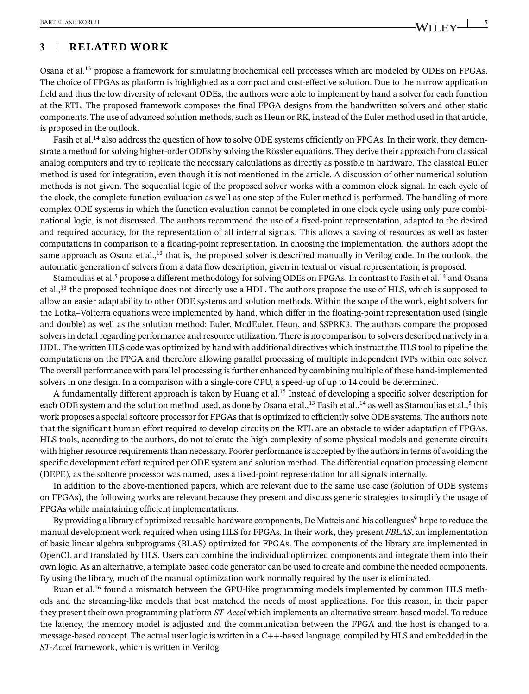# **3 RELATED WORK**

Osana et al.13 propose a framework for simulating biochemical cell processes which are modeled by ODEs on FPGAs. The choice of FPGAs as platform is highlighted as a compact and cost-effective solution. Due to the narrow application field and thus the low diversity of relevant ODEs, the authors were able to implement by hand a solver for each function at the RTL. The proposed framework composes the final FPGA designs from the handwritten solvers and other static components. The use of advanced solution methods, such as Heun or RK, instead of the Euler method used in that article, is proposed in the outlook.

Fasih et al.<sup>14</sup> also address the question of how to solve ODE systems efficiently on FPGAs. In their work, they demonstrate a method for solving higher-order ODEs by solving the Rössler equations. They derive their approach from classical analog computers and try to replicate the necessary calculations as directly as possible in hardware. The classical Euler method is used for integration, even though it is not mentioned in the article. A discussion of other numerical solution methods is not given. The sequential logic of the proposed solver works with a common clock signal. In each cycle of the clock, the complete function evaluation as well as one step of the Euler method is performed. The handling of more complex ODE systems in which the function evaluation cannot be completed in one clock cycle using only pure combinational logic, is not discussed. The authors recommend the use of a fixed-point representation, adapted to the desired and required accuracy, for the representation of all internal signals. This allows a saving of resources as well as faster computations in comparison to a floating-point representation. In choosing the implementation, the authors adopt the same approach as Osana et al.,  $^{13}$  that is, the proposed solver is described manually in Verilog code. In the outlook, the automatic generation of solvers from a data flow description, given in textual or visual representation, is proposed.

Stamoulias et al.<sup>5</sup> propose a different methodology for solving ODEs on FPGAs. In contrast to Fasih et al.<sup>14</sup> and Osana et al.,<sup>13</sup> the proposed technique does not directly use a HDL. The authors propose the use of HLS, which is supposed to allow an easier adaptability to other ODE systems and solution methods. Within the scope of the work, eight solvers for the Lotka–Volterra equations were implemented by hand, which differ in the floating-point representation used (single and double) as well as the solution method: Euler, ModEuler, Heun, and SSPRK3. The authors compare the proposed solvers in detail regarding performance and resource utilization. There is no comparison to solvers described natively in a HDL. The written HLS code was optimized by hand with additional directives which instruct the HLS tool to pipeline the computations on the FPGA and therefore allowing parallel processing of multiple independent IVPs within one solver. The overall performance with parallel processing is further enhanced by combining multiple of these hand-implemented solvers in one design. In a comparison with a single-core CPU, a speed-up of up to 14 could be determined.

A fundamentally different approach is taken by Huang et al.<sup>15</sup> Instead of developing a specific solver description for each ODE system and the solution method used, as done by Osana et al.,<sup>13</sup> Fasih et al.,<sup>14</sup> as well as Stamoulias et al.,<sup>5</sup> this work proposes a special softcore processor for FPGAs that is optimized to efficiently solve ODE systems. The authors note that the significant human effort required to develop circuits on the RTL are an obstacle to wider adaptation of FPGAs. HLS tools, according to the authors, do not tolerate the high complexity of some physical models and generate circuits with higher resource requirements than necessary. Poorer performance is accepted by the authors in terms of avoiding the specific development effort required per ODE system and solution method. The differential equation processing element (DEPE), as the softcore processor was named, uses a fixed-point representation for all signals internally.

In addition to the above-mentioned papers, which are relevant due to the same use case (solution of ODE systems on FPGAs), the following works are relevant because they present and discuss generic strategies to simplify the usage of FPGAs while maintaining efficient implementations.

By providing a library of optimized reusable hardware components, De Matteis and his colleagues<sup>9</sup> hope to reduce the manual development work required when using HLS for FPGAs. In their work, they present *FBLAS*, an implementation of basic linear algebra subprograms (BLAS) optimized for FPGAs. The components of the library are implemented in OpenCL and translated by HLS. Users can combine the individual optimized components and integrate them into their own logic. As an alternative, a template based code generator can be used to create and combine the needed components. By using the library, much of the manual optimization work normally required by the user is eliminated.

Ruan et al.16 found a mismatch between the GPU-like programming models implemented by common HLS methods and the streaming-like models that best matched the needs of most applications. For this reason, in their paper they present their own programming platform *ST-Accel* which implements an alternative stream based model. To reduce the latency, the memory model is adjusted and the communication between the FPGA and the host is changed to a message-based concept. The actual user logic is written in a C++-based language, compiled by HLS and embedded in the *ST-Accel* framework, which is written in Verilog.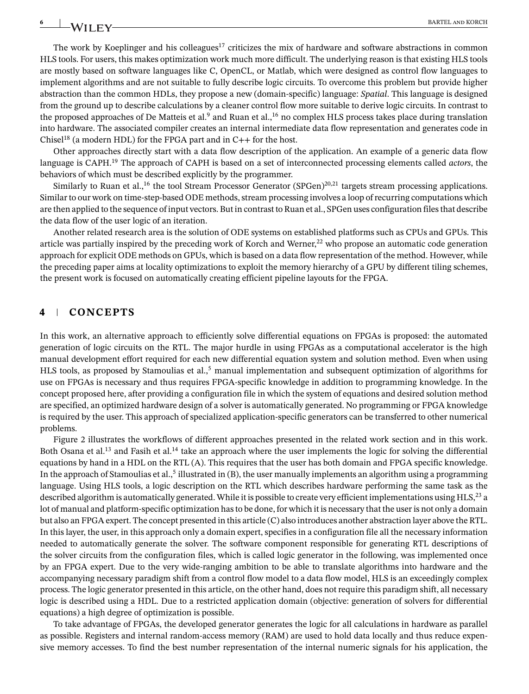The work by Koeplinger and his colleagues<sup>17</sup> criticizes the mix of hardware and software abstractions in common HLS tools. For users, this makes optimization work much more difficult. The underlying reason is that existing HLS tools are mostly based on software languages like C, OpenCL, or Matlab, which were designed as control flow languages to implement algorithms and are not suitable to fully describe logic circuits. To overcome this problem but provide higher abstraction than the common HDLs, they propose a new (domain-specific) language: *Spatial*. This language is designed from the ground up to describe calculations by a cleaner control flow more suitable to derive logic circuits. In contrast to the proposed approaches of De Matteis et al.<sup>9</sup> and Ruan et al.,<sup>16</sup> no complex HLS process takes place during translation into hardware. The associated compiler creates an internal intermediate data flow representation and generates code in Chisel<sup>18</sup> (a modern HDL) for the FPGA part and in  $C++$  for the host.

Other approaches directly start with a data flow description of the application. An example of a generic data flow language is CAPH.<sup>19</sup> The approach of CAPH is based on a set of interconnected processing elements called *actors*, the behaviors of which must be described explicitly by the programmer.

Similarly to Ruan et al.,<sup>16</sup> the tool Stream Processor Generator (SPGen)<sup>20,21</sup> targets stream processing applications. Similar to our work on time-step-based ODE methods, stream processing involves a loop of recurring computations which are then applied to the sequence of input vectors. But in contrast to Ruan et al., SPGen uses configuration files that describe the data flow of the user logic of an iteration.

Another related research area is the solution of ODE systems on established platforms such as CPUs and GPUs. This article was partially inspired by the preceding work of Korch and Werner, $^{22}$  who propose an automatic code generation approach for explicit ODE methods on GPUs, which is based on a data flow representation of the method. However, while the preceding paper aims at locality optimizations to exploit the memory hierarchy of a GPU by different tiling schemes, the present work is focused on automatically creating efficient pipeline layouts for the FPGA.

# **4 CONCEPTS**

In this work, an alternative approach to efficiently solve differential equations on FPGAs is proposed: the automated generation of logic circuits on the RTL. The major hurdle in using FPGAs as a computational accelerator is the high manual development effort required for each new differential equation system and solution method. Even when using HLS tools, as proposed by Stamoulias et al.,<sup>5</sup> manual implementation and subsequent optimization of algorithms for use on FPGAs is necessary and thus requires FPGA-specific knowledge in addition to programming knowledge. In the concept proposed here, after providing a configuration file in which the system of equations and desired solution method are specified, an optimized hardware design of a solver is automatically generated. No programming or FPGA knowledge is required by the user. This approach of specialized application-specific generators can be transferred to other numerical problems.

Figure 2 illustrates the workflows of different approaches presented in the related work section and in this work. Both Osana et al.13 and Fasih et al.14 take an approach where the user implements the logic for solving the differential equations by hand in a HDL on the RTL (A). This requires that the user has both domain and FPGA specific knowledge. In the approach of Stamoulias et al., $5$  illustrated in (B), the user manually implements an algorithm using a programming language. Using HLS tools, a logic description on the RTL which describes hardware performing the same task as the described algorithm is automatically generated. While it is possible to create very efficient implementations using HLS,<sup>23</sup> a lot of manual and platform-specific optimization has to be done, for which it is necessary that the user is not only a domain but also an FPGA expert. The concept presented in this article (C) also introduces another abstraction layer above the RTL. In this layer, the user, in this approach only a domain expert, specifies in a configuration file all the necessary information needed to automatically generate the solver. The software component responsible for generating RTL descriptions of the solver circuits from the configuration files, which is called logic generator in the following, was implemented once by an FPGA expert. Due to the very wide-ranging ambition to be able to translate algorithms into hardware and the accompanying necessary paradigm shift from a control flow model to a data flow model, HLS is an exceedingly complex process. The logic generator presented in this article, on the other hand, does not require this paradigm shift, all necessary logic is described using a HDL. Due to a restricted application domain (objective: generation of solvers for differential equations) a high degree of optimization is possible.

To take advantage of FPGAs, the developed generator generates the logic for all calculations in hardware as parallel as possible. Registers and internal random-access memory (RAM) are used to hold data locally and thus reduce expensive memory accesses. To find the best number representation of the internal numeric signals for his application, the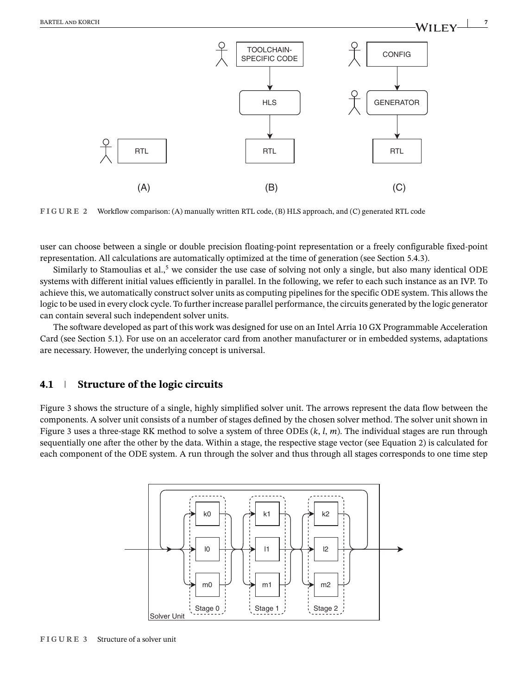

**FIGURE 2** Workflow comparison: (A) manually written RTL code, (B) HLS approach, and (C) generated RTL code

user can choose between a single or double precision floating-point representation or a freely configurable fixed-point representation. All calculations are automatically optimized at the time of generation (see Section 5.4.3).

Similarly to Stamoulias et al., $5$  we consider the use case of solving not only a single, but also many identical ODE systems with different initial values efficiently in parallel. In the following, we refer to each such instance as an IVP. To achieve this, we automatically construct solver units as computing pipelines for the specific ODE system. This allows the logic to be used in every clock cycle. To further increase parallel performance, the circuits generated by the logic generator can contain several such independent solver units.

The software developed as part of this work was designed for use on an Intel Arria 10 GX Programmable Acceleration Card (see Section 5.1). For use on an accelerator card from another manufacturer or in embedded systems, adaptations are necessary. However, the underlying concept is universal.

# **4.1 Structure of the logic circuits**

Figure 3 shows the structure of a single, highly simplified solver unit. The arrows represent the data flow between the components. A solver unit consists of a number of stages defined by the chosen solver method. The solver unit shown in Figure 3 uses a three-stage RK method to solve a system of three ODEs (*k*, *l*, *m*). The individual stages are run through sequentially one after the other by the data. Within a stage, the respective stage vector (see Equation 2) is calculated for each component of the ODE system. A run through the solver and thus through all stages corresponds to one time step

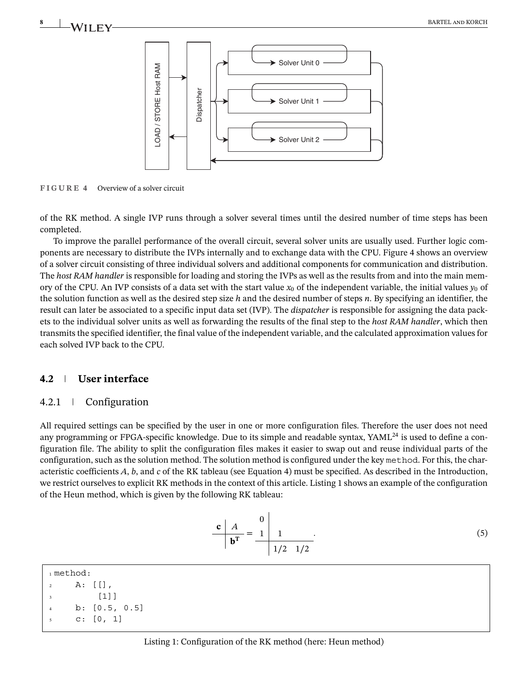

**FIGURE 4** Overview of a solver circuit

of the RK method. A single IVP runs through a solver several times until the desired number of time steps has been completed.

To improve the parallel performance of the overall circuit, several solver units are usually used. Further logic components are necessary to distribute the IVPs internally and to exchange data with the CPU. Figure 4 shows an overview of a solver circuit consisting of three individual solvers and additional components for communication and distribution. The *host RAM handler* is responsible for loading and storing the IVPs as well as the results from and into the main memory of the CPU. An IVP consists of a data set with the start value  $x_0$  of the independent variable, the initial values  $y_0$  of the solution function as well as the desired step size *h* and the desired number of steps *n*. By specifying an identifier, the result can later be associated to a specific input data set (IVP). The *dispatcher* is responsible for assigning the data packets to the individual solver units as well as forwarding the results of the final step to the *host RAM handler*, which then transmits the specified identifier, the final value of the independent variable, and the calculated approximation values for each solved IVP back to the CPU.

### **4.2 User interface**

#### 4.2.1 Configuration

All required settings can be specified by the user in one or more configuration files. Therefore the user does not need any programming or FPGA-specific knowledge. Due to its simple and readable syntax, YAML<sup>24</sup> is used to define a configuration file. The ability to split the configuration files makes it easier to swap out and reuse individual parts of the configuration, such as the solution method. The solution method is configured under the key method. For this, the characteristic coefficients *A*, *b*, and *c* of the RK tableau (see Equation 4) must be specified. As described in the Introduction, we restrict ourselves to explicit RK methods in the context of this article. Listing 1 shows an example of the configuration of the Heun method, which is given by the following RK tableau:

$$
\frac{\mathbf{c} \mid A}{\mathbf{b}^{\mathbf{T}}} = \frac{1}{1} \frac{1}{1/2 \cdot 1/2}.
$$
 (5)

<sup>1</sup> method:  $2 \qquad A: \quad \text{[1]}$  $\overline{\mathbf{3}}$  [1]] b:  $[0.5, 0.5]$  $c: [0, 1]$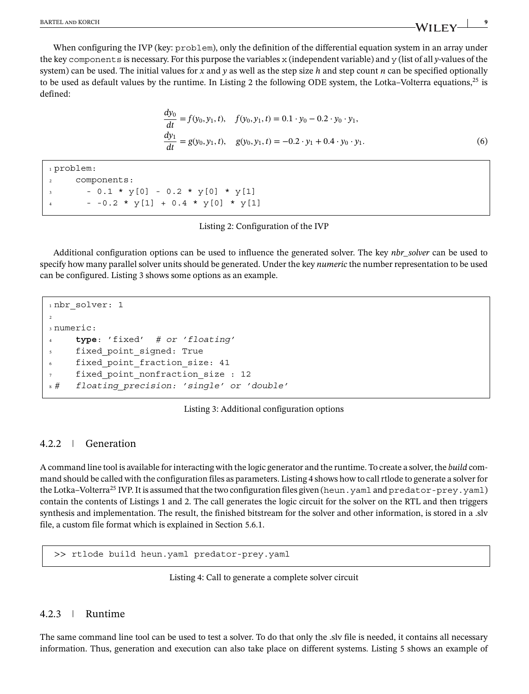When configuring the IVP (key: problem), only the definition of the differential equation system in an array under the key components is necessary. For this purpose the variables x (independent variable) and y (list of all *y*-values of the system) can be used. The initial values for *x* and *y* as well as the step size *h* and step count *n* can be specified optionally to be used as default values by the runtime. In Listing 2 the following ODE system, the Lotka–Volterra equations, $^{25}$  is defined:

$$
\frac{dy_0}{dt} = f(y_0, y_1, t), \quad f(y_0, y_1, t) = 0.1 \cdot y_0 - 0.2 \cdot y_0 \cdot y_1,\n\frac{dy_1}{dt} = g(y_0, y_1, t), \quad g(y_0, y_1, t) = -0.2 \cdot y_1 + 0.4 \cdot y_0 \cdot y_1.
$$
\n(6)

<sup>1</sup> problem: <sup>2</sup> components:  $3 \t- 0.1 * y[0] - 0.2 * y[0] * y[1]$  $-0.2$  \*  $y[1]$  + 0.4 \*  $y[0]$  \*  $y[1]$ 

Listing 2: Configuration of the IVP

Additional configuration options can be used to influence the generated solver. The key *nbr\_solver* can be used to specify how many parallel solver units should be generated. Under the key *numeric* the number representation to be used can be configured. Listing 3 shows some options as an example.

```
1 nbr solver: 1
2
3 numeric:
     4 type: 'fixed' # or 'floating'
     fixed point signed: True
     fixed point fraction size: 41
     fixed point nonfraction size : 12
8 # floating_precision: 'single' or 'double'
```
Listing 3: Additional configuration options

# 4.2.2 Generation

A command line tool is available for interacting with the logic generator and the runtime. To create a solver, the *build* command should be called with the configuration files as parameters. Listing 4 shows how to call rtlode to generate a solver for the Lotka-Volterra<sup>25</sup> IVP. It is assumed that the two configuration files given (heun.yaml and predator-prey.yaml) contain the contents of Listings 1 and 2. The call generates the logic circuit for the solver on the RTL and then triggers synthesis and implementation. The result, the finished bitstream for the solver and other information, is stored in a .slv file, a custom file format which is explained in Section 5.6.1.

*>>* rtlode build heun.yaml predator-prey.yaml

Listing 4: Call to generate a complete solver circuit

# 4.2.3 Runtime

The same command line tool can be used to test a solver. To do that only the .slv file is needed, it contains all necessary information. Thus, generation and execution can also take place on different systems. Listing 5 shows an example of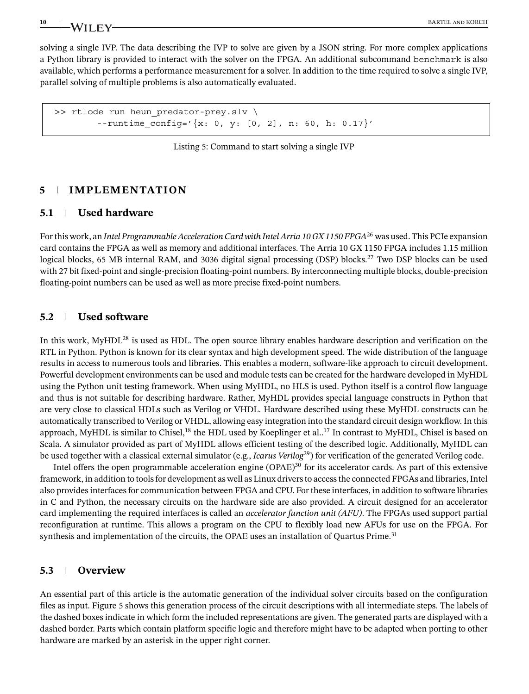**10 BARTEL AND KORCH** 

solving a single IVP. The data describing the IVP to solve are given by a JSON string. For more complex applications a Python library is provided to interact with the solver on the FPGA. An additional subcommand benchmark is also available, which performs a performance measurement for a solver. In addition to the time required to solve a single IVP, parallel solving of multiple problems is also automatically evaluated.

```
>> rtlode run heun predator-prey.slv \
        --runtime config='{x: 0, y: [0, 2], n: 60, h: 0.17}'
```
#### Listing 5: Command to start solving a single IVP

# **5 IMPLEMENTATION**

### **5.1 Used hardware**

For this work, an *Intel Programmable Acceleration Card with Intel Arria 10 GX 1150 FPGA*<sup>26</sup> was used. This PCIe expansion card contains the FPGA as well as memory and additional interfaces. The Arria 10 GX 1150 FPGA includes 1.15 million logical blocks, 65 MB internal RAM, and 3036 digital signal processing (DSP) blocks.<sup>27</sup> Two DSP blocks can be used with 27 bit fixed-point and single-precision floating-point numbers. By interconnecting multiple blocks, double-precision floating-point numbers can be used as well as more precise fixed-point numbers.

# **5.2 Used software**

In this work, MyHDL<sup>28</sup> is used as HDL. The open source library enables hardware description and verification on the RTL in Python. Python is known for its clear syntax and high development speed. The wide distribution of the language results in access to numerous tools and libraries. This enables a modern, software-like approach to circuit development. Powerful development environments can be used and module tests can be created for the hardware developed in MyHDL using the Python unit testing framework. When using MyHDL, no HLS is used. Python itself is a control flow language and thus is not suitable for describing hardware. Rather, MyHDL provides special language constructs in Python that are very close to classical HDLs such as Verilog or VHDL. Hardware described using these MyHDL constructs can be automatically transcribed to Verilog or VHDL, allowing easy integration into the standard circuit design workflow. In this approach, MyHDL is similar to Chisel,<sup>18</sup> the HDL used by Koeplinger et al..<sup>17</sup> In contrast to MyHDL, Chisel is based on Scala. A simulator provided as part of MyHDL allows efficient testing of the described logic. Additionally, MyHDL can be used together with a classical external simulator (e.g., *Icarus Verilog*29) for verification of the generated Verilog code.

Intel offers the open programmable acceleration engine  $(OPAE)^{30}$  for its accelerator cards. As part of this extensive framework, in addition to tools for development as well as Linux drivers to access the connected FPGAs and libraries, Intel also provides interfaces for communication between FPGA and CPU. For these interfaces, in addition to software libraries in C and Python, the necessary circuits on the hardware side are also provided. A circuit designed for an accelerator card implementing the required interfaces is called an *accelerator function unit (AFU)*. The FPGAs used support partial reconfiguration at runtime. This allows a program on the CPU to flexibly load new AFUs for use on the FPGA. For synthesis and implementation of the circuits, the OPAE uses an installation of Quartus Prime.<sup>31</sup>

# **5.3 Overview**

An essential part of this article is the automatic generation of the individual solver circuits based on the configuration files as input. Figure 5 shows this generation process of the circuit descriptions with all intermediate steps. The labels of the dashed boxes indicate in which form the included representations are given. The generated parts are displayed with a dashed border. Parts which contain platform specific logic and therefore might have to be adapted when porting to other hardware are marked by an asterisk in the upper right corner.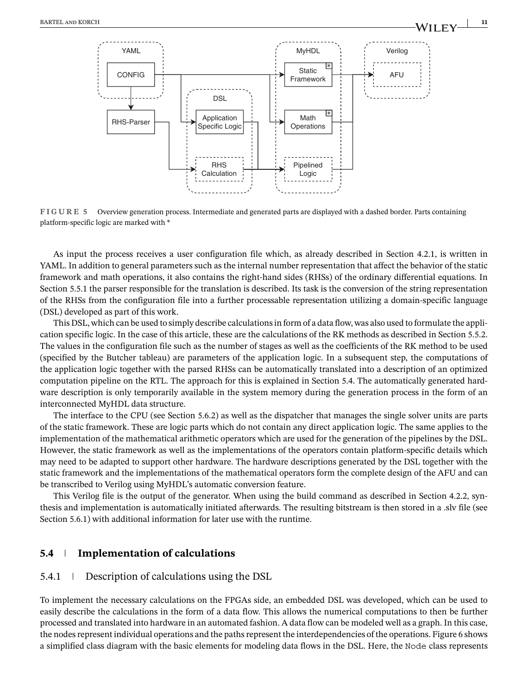

**FIGURE 5** Overview generation process. Intermediate and generated parts are displayed with a dashed border. Parts containing platform-specific logic are marked with \*

As input the process receives a user configuration file which, as already described in Section 4.2.1, is written in YAML. In addition to general parameters such as the internal number representation that affect the behavior of the static framework and math operations, it also contains the right-hand sides (RHSs) of the ordinary differential equations. In Section 5.5.1 the parser responsible for the translation is described. Its task is the conversion of the string representation of the RHSs from the configuration file into a further processable representation utilizing a domain-specific language (DSL) developed as part of this work.

This DSL, which can be used to simply describe calculations in form of a data flow, was also used to formulate the application specific logic. In the case of this article, these are the calculations of the RK methods as described in Section 5.5.2. The values in the configuration file such as the number of stages as well as the coefficients of the RK method to be used (specified by the Butcher tableau) are parameters of the application logic. In a subsequent step, the computations of the application logic together with the parsed RHSs can be automatically translated into a description of an optimized computation pipeline on the RTL. The approach for this is explained in Section 5.4. The automatically generated hardware description is only temporarily available in the system memory during the generation process in the form of an interconnected MyHDL data structure.

The interface to the CPU (see Section 5.6.2) as well as the dispatcher that manages the single solver units are parts of the static framework. These are logic parts which do not contain any direct application logic. The same applies to the implementation of the mathematical arithmetic operators which are used for the generation of the pipelines by the DSL. However, the static framework as well as the implementations of the operators contain platform-specific details which may need to be adapted to support other hardware. The hardware descriptions generated by the DSL together with the static framework and the implementations of the mathematical operators form the complete design of the AFU and can be transcribed to Verilog using MyHDL's automatic conversion feature.

This Verilog file is the output of the generator. When using the build command as described in Section 4.2.2, synthesis and implementation is automatically initiated afterwards. The resulting bitstream is then stored in a .slv file (see Section 5.6.1) with additional information for later use with the runtime.

# **5.4 Implementation of calculations**

#### 5.4.1 Description of calculations using the DSL

To implement the necessary calculations on the FPGAs side, an embedded DSL was developed, which can be used to easily describe the calculations in the form of a data flow. This allows the numerical computations to then be further processed and translated into hardware in an automated fashion. A data flow can be modeled well as a graph. In this case, the nodes represent individual operations and the paths represent the interdependencies of the operations. Figure 6 shows a simplified class diagram with the basic elements for modeling data flows in the DSL. Here, the Node class represents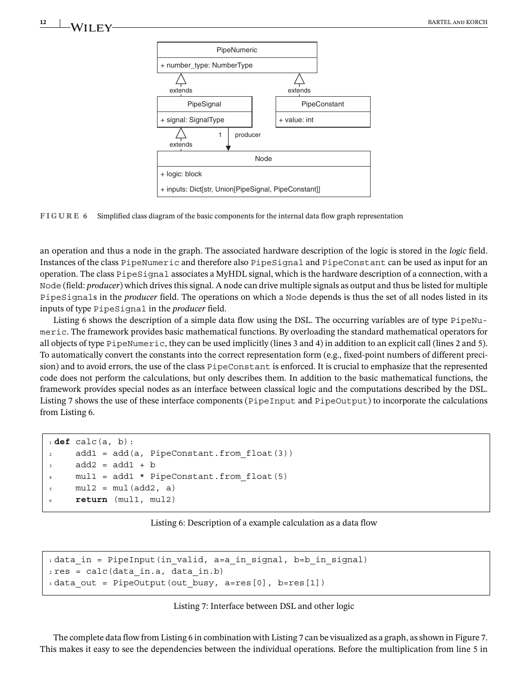

**FIGURE 6** Simplified class diagram of the basic components for the internal data flow graph representation

an operation and thus a node in the graph. The associated hardware description of the logic is stored in the *logic* field. Instances of the class PipeNumeric and therefore also PipeSignal and PipeConstant can be used as input for an operation. The class PipeSignal associates a MyHDL signal, which is the hardware description of a connection, with a Node (field: *producer*) which drives this signal. A node can drive multiple signals as output and thus be listed for multiple PipeSignals in the *producer* field. The operations on which a Node depends is thus the set of all nodes listed in its inputs of type PipeSignal in the *producer* field.

Listing 6 shows the description of a simple data flow using the DSL. The occurring variables are of type PipeNumeric. The framework provides basic mathematical functions. By overloading the standard mathematical operators for all objects of type PipeNumeric, they can be used implicitly (lines 3 and 4) in addition to an explicit call (lines 2 and 5). To automatically convert the constants into the correct representation form (e.g., fixed-point numbers of different precision) and to avoid errors, the use of the class PipeConstant is enforced. It is crucial to emphasize that the represented code does not perform the calculations, but only describes them. In addition to the basic mathematical functions, the framework provides special nodes as an interface between classical logic and the computations described by the DSL. Listing 7 shows the use of these interface components (PipeInput and PipeOutput) to incorporate the calculations from Listing 6.

```
_1 def calc(a, b):
2 \text{ add1} = add(a, PipeConstant.from float(3))3 \text{ add2} = add1 + b4 mul1 = add1 * PipeConstant.from float(5)
s mul2 = mul(add2, a)
     6 return (mul1, mul2)
```
Listing 6: Description of a example calculation as a data flow

```
1 data_in = PipeInput(in_valid, a=a_in_signal, b=b_in_signal)
2 res = calc(data in.a, data in.b)3 data out = PipeOutput(out busy, a=res[0], b=res[1])
```
Listing 7: Interface between DSL and other logic

The complete data flow from Listing 6 in combination with Listing 7 can be visualized as a graph, as shown in Figure 7. This makes it easy to see the dependencies between the individual operations. Before the multiplication from line 5 in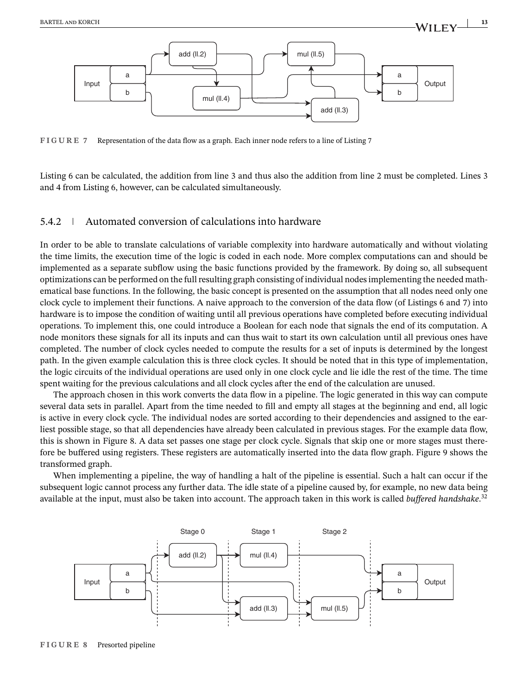

**FIGURE 7** Representation of the data flow as a graph. Each inner node refers to a line of Listing 7

Listing 6 can be calculated, the addition from line 3 and thus also the addition from line 2 must be completed. Lines 3 and 4 from Listing 6, however, can be calculated simultaneously.

### 5.4.2 Automated conversion of calculations into hardware

In order to be able to translate calculations of variable complexity into hardware automatically and without violating the time limits, the execution time of the logic is coded in each node. More complex computations can and should be implemented as a separate subflow using the basic functions provided by the framework. By doing so, all subsequent optimizations can be performed on the full resulting graph consisting of individual nodes implementing the needed mathematical base functions. In the following, the basic concept is presented on the assumption that all nodes need only one clock cycle to implement their functions. A naive approach to the conversion of the data flow (of Listings 6 and 7) into hardware is to impose the condition of waiting until all previous operations have completed before executing individual operations. To implement this, one could introduce a Boolean for each node that signals the end of its computation. A node monitors these signals for all its inputs and can thus wait to start its own calculation until all previous ones have completed. The number of clock cycles needed to compute the results for a set of inputs is determined by the longest path. In the given example calculation this is three clock cycles. It should be noted that in this type of implementation, the logic circuits of the individual operations are used only in one clock cycle and lie idle the rest of the time. The time spent waiting for the previous calculations and all clock cycles after the end of the calculation are unused.

The approach chosen in this work converts the data flow in a pipeline. The logic generated in this way can compute several data sets in parallel. Apart from the time needed to fill and empty all stages at the beginning and end, all logic is active in every clock cycle. The individual nodes are sorted according to their dependencies and assigned to the earliest possible stage, so that all dependencies have already been calculated in previous stages. For the example data flow, this is shown in Figure 8. A data set passes one stage per clock cycle. Signals that skip one or more stages must therefore be buffered using registers. These registers are automatically inserted into the data flow graph. Figure 9 shows the transformed graph.

When implementing a pipeline, the way of handling a halt of the pipeline is essential. Such a halt can occur if the subsequent logic cannot process any further data. The idle state of a pipeline caused by, for example, no new data being available at the input, must also be taken into account. The approach taken in this work is called *buffered handshake*. 32

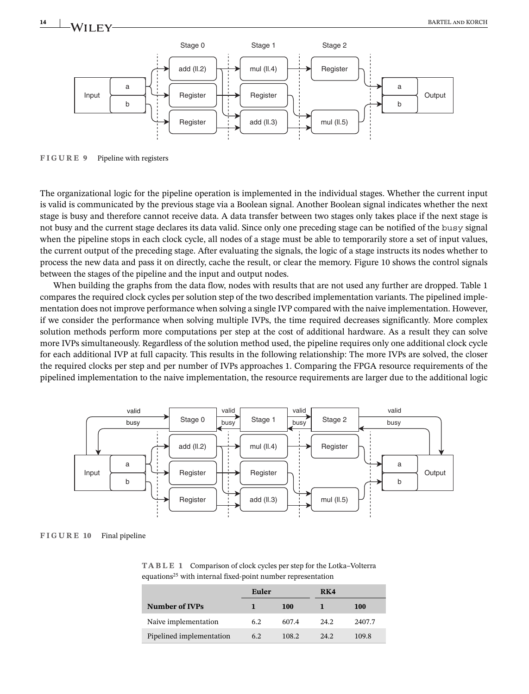

**FIGURE 9** Pipeline with registers

The organizational logic for the pipeline operation is implemented in the individual stages. Whether the current input is valid is communicated by the previous stage via a Boolean signal. Another Boolean signal indicates whether the next stage is busy and therefore cannot receive data. A data transfer between two stages only takes place if the next stage is not busy and the current stage declares its data valid. Since only one preceding stage can be notified of the busy signal when the pipeline stops in each clock cycle, all nodes of a stage must be able to temporarily store a set of input values, the current output of the preceding stage. After evaluating the signals, the logic of a stage instructs its nodes whether to process the new data and pass it on directly, cache the result, or clear the memory. Figure 10 shows the control signals between the stages of the pipeline and the input and output nodes.

When building the graphs from the data flow, nodes with results that are not used any further are dropped. Table 1 compares the required clock cycles per solution step of the two described implementation variants. The pipelined implementation does not improve performance when solving a single IVP compared with the naive implementation. However, if we consider the performance when solving multiple IVPs, the time required decreases significantly. More complex solution methods perform more computations per step at the cost of additional hardware. As a result they can solve more IVPs simultaneously. Regardless of the solution method used, the pipeline requires only one additional clock cycle for each additional IVP at full capacity. This results in the following relationship: The more IVPs are solved, the closer the required clocks per step and per number of IVPs approaches 1. Comparing the FPGA resource requirements of the pipelined implementation to the naive implementation, the resource requirements are larger due to the additional logic





**TABLE 1** Comparison of clock cycles per step for the Lotka–Volterra equations<sup>25</sup> with internal fixed-point number representation

|                          | Euler |       | RK4  |            |
|--------------------------|-------|-------|------|------------|
| Number of IVPs           |       | 100   |      | <b>100</b> |
| Naive implementation     | 6.2   | 607.4 | 24.2 | 2407.7     |
| Pipelined implementation | 6.2   | 108.2 | 24.2 | 109.8      |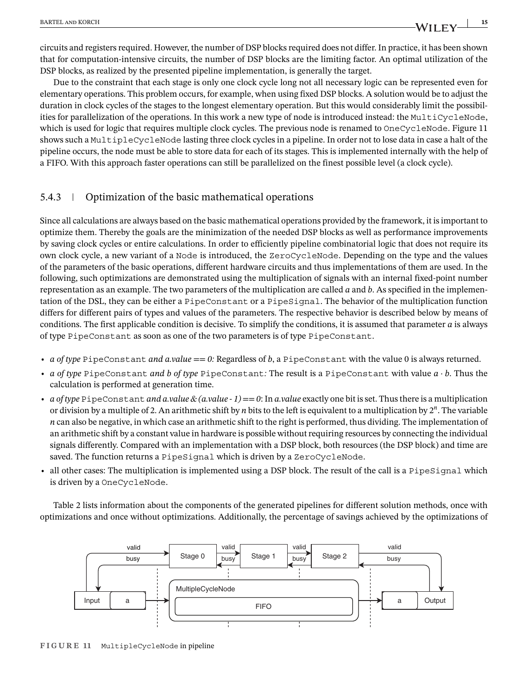circuits and registers required. However, the number of DSP blocks required does not differ. In practice, it has been shown that for computation-intensive circuits, the number of DSP blocks are the limiting factor. An optimal utilization of the DSP blocks, as realized by the presented pipeline implementation, is generally the target.

Due to the constraint that each stage is only one clock cycle long not all necessary logic can be represented even for elementary operations. This problem occurs, for example, when using fixed DSP blocks. A solution would be to adjust the duration in clock cycles of the stages to the longest elementary operation. But this would considerably limit the possibilities for parallelization of the operations. In this work a new type of node is introduced instead: the MultiCycleNode, which is used for logic that requires multiple clock cycles. The previous node is renamed to OneCycleNode. Figure 11 shows such a MultipleCycleNode lasting three clock cycles in a pipeline. In order not to lose data in case a halt of the pipeline occurs, the node must be able to store data for each of its stages. This is implemented internally with the help of a FIFO. With this approach faster operations can still be parallelized on the finest possible level (a clock cycle).

# 5.4.3 • Optimization of the basic mathematical operations

Since all calculations are always based on the basic mathematical operations provided by the framework, it is important to optimize them. Thereby the goals are the minimization of the needed DSP blocks as well as performance improvements by saving clock cycles or entire calculations. In order to efficiently pipeline combinatorial logic that does not require its own clock cycle, a new variant of a Node is introduced, the ZeroCycleNode. Depending on the type and the values of the parameters of the basic operations, different hardware circuits and thus implementations of them are used. In the following, such optimizations are demonstrated using the multiplication of signals with an internal fixed-point number representation as an example. The two parameters of the multiplication are called *a* and *b*. As specified in the implementation of the DSL, they can be either a PipeConstant or a PipeSignal. The behavior of the multiplication function differs for different pairs of types and values of the parameters. The respective behavior is described below by means of conditions. The first applicable condition is decisive. To simplify the conditions, it is assumed that parameter *a* is always of type PipeConstant as soon as one of the two parameters is of type PipeConstant.

- **•** *a of type* PipeConstant *and a.value* == *0:* Regardless of *b*, a PipeConstant with the value 0 is always returned.
- **•** *a of type* PipeConstant *and b of type* PipeConstant*:* The result is a PipeConstant with value *a* ⋅ *b*. Thus the calculation is performed at generation time.
- **•** *a of type* PipeConstant *and a.value & (a.value 1)* == *0*: In *a.value* exactly one bit is set. Thus there is a multiplication or division by a multiple of 2. An arithmetic shift by *n* bits to the left is equivalent to a multiplication by 2*<sup>n</sup>*. The variable *n* can also be negative, in which case an arithmetic shift to the right is performed, thus dividing. The implementation of an arithmetic shift by a constant value in hardware is possible without requiring resources by connecting the individual signals differently. Compared with an implementation with a DSP block, both resources (the DSP block) and time are saved. The function returns a PipeSignal which is driven by a ZeroCycleNode.
- **•** all other cases: The multiplication is implemented using a DSP block. The result of the call is a PipeSignal which is driven by a OneCycleNode.

Table 2 lists information about the components of the generated pipelines for different solution methods, once with optimizations and once without optimizations. Additionally, the percentage of savings achieved by the optimizations of

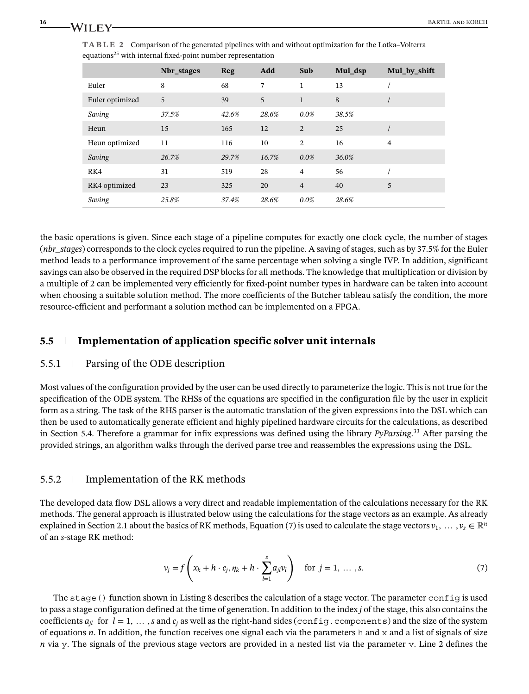|                 | Nbr_stages | Reg   | Add   | Sub            | Mul_dsp | Mul_by_shift   |
|-----------------|------------|-------|-------|----------------|---------|----------------|
| Euler           | 8          | 68    | 7     | $\mathbf{1}$   | 13      |                |
| Euler optimized | 5          | 39    | 5     | $\mathbf{1}$   | 8       |                |
| Saving          | 37.5%      | 42.6% | 28.6% | $0.0\%$        | 38.5%   |                |
| Heun            | 15         | 165   | 12    | $\overline{2}$ | 25      |                |
| Heun optimized  | 11         | 116   | 10    | 2              | 16      | $\overline{4}$ |
| Saving          | 26.7%      | 29.7% | 16.7% | $0.0\%$        | 36.0%   |                |
| RK4             | 31         | 519   | 28    | $\overline{4}$ | 56      |                |
| RK4 optimized   | 23         | 325   | 20    | $\overline{4}$ | 40      | 5              |
|                 |            |       |       |                |         |                |

**TABLE 2** Comparison of the generated pipelines with and without optimization for the Lotka–Volterra equations<sup>25</sup> with internal fixed-point number representation

the basic operations is given. Since each stage of a pipeline computes for exactly one clock cycle, the number of stages (*nbr\_stages*) corresponds to the clock cycles required to run the pipeline. A saving of stages, such as by 37*.*5% for the Euler method leads to a performance improvement of the same percentage when solving a single IVP. In addition, significant savings can also be observed in the required DSP blocks for all methods. The knowledge that multiplication or division by a multiple of 2 can be implemented very efficiently for fixed-point number types in hardware can be taken into account when choosing a suitable solution method. The more coefficients of the Butcher tableau satisfy the condition, the more resource-efficient and performant a solution method can be implemented on a FPGA.

#### **5.5 Implementation of application specific solver unit internals**

*Saving 25.8% 37.4% 28.6% 0.0% 28.6%*

#### 5.5.1 Parsing of the ODE description

Most values of the configuration provided by the user can be used directly to parameterize the logic. This is not true for the specification of the ODE system. The RHSs of the equations are specified in the configuration file by the user in explicit form as a string. The task of the RHS parser is the automatic translation of the given expressions into the DSL which can then be used to automatically generate efficient and highly pipelined hardware circuits for the calculations, as described in Section 5.4. Therefore a grammar for infix expressions was defined using the library *PyParsing*. <sup>33</sup> After parsing the provided strings, an algorithm walks through the derived parse tree and reassembles the expressions using the DSL.

#### 5.5.2 Implementation of the RK methods

The developed data flow DSL allows a very direct and readable implementation of the calculations necessary for the RK methods. The general approach is illustrated below using the calculations for the stage vectors as an example. As already explained in Section 2.1 about the basics of RK methods, Equation (7) is used to calculate the stage vectors  $v_1, \ldots, v_s \in \mathbb{R}^n$ of an *s*-stage RK method:

$$
v_j = f\left(x_k + h \cdot c_j, \eta_k + h \cdot \sum_{l=1}^s a_{jl} v_l\right) \quad \text{for } j = 1, \dots, s. \tag{7}
$$

The stage () function shown in Listing 8 describes the calculation of a stage vector. The parameter config is used to pass a stage configuration defined at the time of generation. In addition to the index *j* of the stage, this also contains the coefficients  $a_{jl}$  for  $l = 1, \ldots, s$  and  $c_j$  as well as the right-hand sides (config.components) and the size of the system of equations *n*. In addition, the function receives one signal each via the parameters h and  $x$  and a list of signals of size *n* via y. The signals of the previous stage vectors are provided in a nested list via the parameter v. Line 2 defines the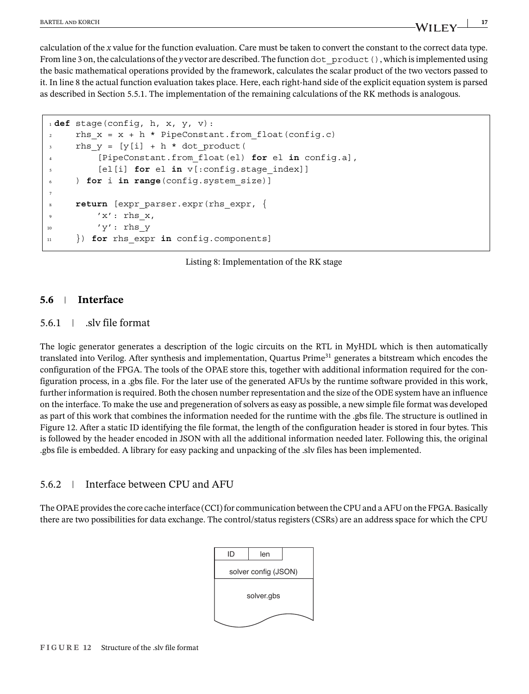calculation of the *x* value for the function evaluation. Care must be taken to convert the constant to the correct data type. From line 3 on, the calculations of the *y* vector are described. The function  $dot$  product(), which is implemented using the basic mathematical operations provided by the framework, calculates the scalar product of the two vectors passed to it. In line 8 the actual function evaluation takes place. Here, each right-hand side of the explicit equation system is parsed as described in Section 5.5.1. The implementation of the remaining calculations of the RK methods is analogous.

```
1 def stage(config, h, x, y, v):
x = x + h * \text{PipeConstant}.from float(config.c)3 rhs y = [y[i] + h * dot product(4 [PipeConstant.from_float(el) for el in config.a],
5 [el[i] for el in v[:config.stage_index]]
6 ) for i in range(config.system_size)]
7
8 return [expr parser.expr(rhs expr, {
'x': rhs x,
10 'y': rhs_y
11 }) for rhs_expr in config.components]
```
Listing 8: Implementation of the RK stage

# **5.6 Interface**

# $5.6.1$  .slv file format

The logic generator generates a description of the logic circuits on the RTL in MyHDL which is then automatically translated into Verilog. After synthesis and implementation, Quartus Prime<sup>31</sup> generates a bitstream which encodes the configuration of the FPGA. The tools of the OPAE store this, together with additional information required for the configuration process, in a .gbs file. For the later use of the generated AFUs by the runtime software provided in this work, further information is required. Both the chosen number representation and the size of the ODE system have an influence on the interface. To make the use and pregeneration of solvers as easy as possible, a new simple file format was developed as part of this work that combines the information needed for the runtime with the .gbs file. The structure is outlined in Figure 12. After a static ID identifying the file format, the length of the configuration header is stored in four bytes. This is followed by the header encoded in JSON with all the additional information needed later. Following this, the original .gbs file is embedded. A library for easy packing and unpacking of the .slv files has been implemented.

# 5.6.2 Interface between CPU and AFU

The OPAE provides the core cache interface (CCI) for communication between the CPU and a AFU on the FPGA. Basically there are two possibilities for data exchange. The control/status registers (CSRs) are an address space for which the CPU

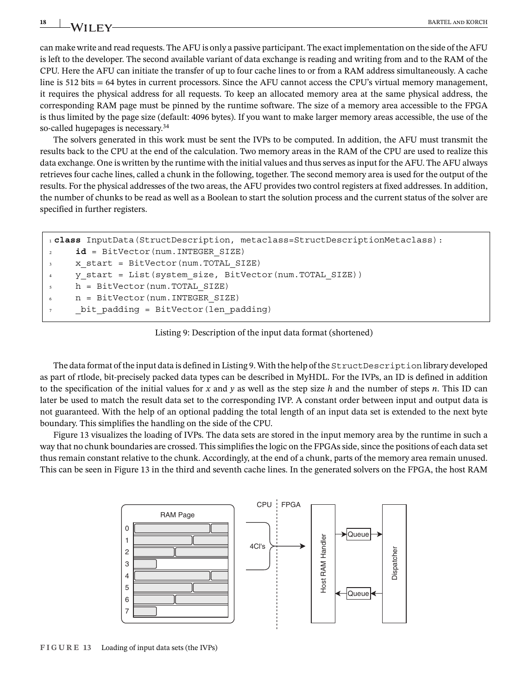can make write and read requests. The AFU is only a passive participant. The exact implementation on the side of the AFU is left to the developer. The second available variant of data exchange is reading and writing from and to the RAM of the CPU. Here the AFU can initiate the transfer of up to four cache lines to or from a RAM address simultaneously. A cache line is 512 bits = 64 bytes in current processors. Since the AFU cannot access the CPU's virtual memory management, it requires the physical address for all requests. To keep an allocated memory area at the same physical address, the corresponding RAM page must be pinned by the runtime software. The size of a memory area accessible to the FPGA is thus limited by the page size (default: 4096 bytes). If you want to make larger memory areas accessible, the use of the so-called hugepages is necessary.<sup>34</sup>

The solvers generated in this work must be sent the IVPs to be computed. In addition, the AFU must transmit the results back to the CPU at the end of the calculation. Two memory areas in the RAM of the CPU are used to realize this data exchange. One is written by the runtime with the initial values and thus serves as input for the AFU. The AFU always retrieves four cache lines, called a chunk in the following, together. The second memory area is used for the output of the results. For the physical addresses of the two areas, the AFU provides two control registers at fixed addresses. In addition, the number of chunks to be read as well as a Boolean to start the solution process and the current status of the solver are specified in further registers.

```
1 class InputData(StructDescription, metaclass=StructDescriptionMetaclass):
2 id = BitVector(num.INTEGER_SIZE)
3 x_start = BitVector(num.TOTAL_SIZE)
4 y_start = List(system_size, BitVector(num.TOTAL_SIZE))
5 h = BitVector(num.TOTAL_SIZE)
6 n = BitVector(num.INTEGER_SIZE)
7 bit padding = BitVector(len padding)
```
Listing 9: Description of the input data format (shortened)

The data format of the input data is defined in Listing 9. With the help of the StructDescription library developed as part of rtlode, bit-precisely packed data types can be described in MyHDL. For the IVPs, an ID is defined in addition to the specification of the initial values for *x* and *y* as well as the step size *h* and the number of steps *n*. This ID can later be used to match the result data set to the corresponding IVP. A constant order between input and output data is not guaranteed. With the help of an optional padding the total length of an input data set is extended to the next byte boundary. This simplifies the handling on the side of the CPU.

Figure 13 visualizes the loading of IVPs. The data sets are stored in the input memory area by the runtime in such a way that no chunk boundaries are crossed. This simplifies the logic on the FPGAs side, since the positions of each data set thus remain constant relative to the chunk. Accordingly, at the end of a chunk, parts of the memory area remain unused. This can be seen in Figure 13 in the third and seventh cache lines. In the generated solvers on the FPGA, the host RAM



**F I G U R E 13** Loading of input data sets (the IVPs)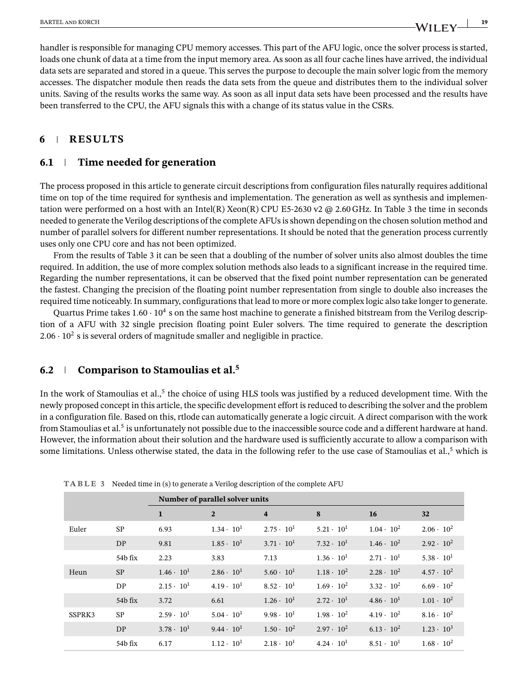handler is responsible for managing CPU memory accesses. This part of the AFU logic, once the solver process is started, loads one chunk of data at a time from the input memory area. As soon as all four cache lines have arrived, the individual data sets are separated and stored in a queue. This serves the purpose to decouple the main solver logic from the memory accesses. The dispatcher module then reads the data sets from the queue and distributes them to the individual solver units. Saving of the results works the same way. As soon as all input data sets have been processed and the results have been transferred to the CPU, the AFU signals this with a change of its status value in the CSRs.

# **6 RESULTS**

# **6.1 Time needed for generation**

The process proposed in this article to generate circuit descriptions from configuration files naturally requires additional time on top of the time required for synthesis and implementation. The generation as well as synthesis and implementation were performed on a host with an Intel(R) Xeon(R) CPU E5-2630 v2  $\omega$  2.60 GHz. In Table 3 the time in seconds needed to generate the Verilog descriptions of the complete AFUs is shown depending on the chosen solution method and number of parallel solvers for different number representations. It should be noted that the generation process currently uses only one CPU core and has not been optimized.

From the results of Table 3 it can be seen that a doubling of the number of solver units also almost doubles the time required. In addition, the use of more complex solution methods also leads to a significant increase in the required time. Regarding the number representations, it can be observed that the fixed point number representation can be generated the fastest. Changing the precision of the floating point number representation from single to double also increases the required time noticeably. In summary, configurations that lead to more or more complex logic also take longer to generate.

Quartus Prime takes  $1.60 \cdot 10^4$  s on the same host machine to generate a finished bitstream from the Verilog description of a AFU with 32 single precision floating point Euler solvers. The time required to generate the description  $2.06 \cdot 10^2$  s is several orders of magnitude smaller and negligible in practice.

# **6.2 Comparison to Stamoulias et al.<sup>5</sup>**

In the work of Stamoulias et al.,<sup>5</sup> the choice of using HLS tools was justified by a reduced development time. With the newly proposed concept in this article, the specific development effort is reduced to describing the solver and the problem in a configuration file. Based on this, rtlode can automatically generate a logic circuit. A direct comparison with the work from Stamoulias et al.5 is unfortunately not possible due to the inaccessible source code and a different hardware at hand. However, the information about their solution and the hardware used is sufficiently accurate to allow a comparison with some limitations. Unless otherwise stated, the data in the following refer to the use case of Stamoulias et al., $5$  which is

|        |           | Number of parallel solver units |                     |                         |                     |                     |                     |  |
|--------|-----------|---------------------------------|---------------------|-------------------------|---------------------|---------------------|---------------------|--|
|        |           | $\mathbf{1}$                    | $\overline{2}$      | $\overline{\mathbf{4}}$ | 8                   | 16                  | 32                  |  |
| Euler  | <b>SP</b> | 6.93                            | $1.34 \cdot 10^{1}$ | $2.75 \cdot 10^{1}$     | $5.21 \cdot 10^{1}$ | $1.04 \cdot 10^{2}$ | $2.06 \cdot 10^{2}$ |  |
|        | DP        | 9.81                            | $1.85 \cdot 10^{1}$ | $3.71 \cdot 10^{1}$     | $7.32 \cdot 10^{1}$ | $1.46 \cdot 10^{2}$ | $2.92 \cdot 10^{2}$ |  |
|        | 54b fix   | 2.23                            | 3.83                | 7.13                    | $1.36 \cdot 10^{1}$ | $2.71 \cdot 10^{1}$ | $5.38 \cdot 10^{1}$ |  |
| Heun   | <b>SP</b> | $1.46 \cdot 10^{1}$             | $2.86 \cdot 10^{1}$ | $5.60 \cdot 10^{1}$     | $1.18 \cdot 10^2$   | $2.28 \cdot 10^{2}$ | $4.57 \cdot 10^{2}$ |  |
|        | DP        | $2.15 \cdot 10^{1}$             | $4.19 \cdot 10^{1}$ | $8.52 \cdot 10^{1}$     | $1.69 \cdot 10^{2}$ | $3.32 \cdot 10^{2}$ | $6.69 \cdot 10^{2}$ |  |
|        | 54b fix   | 3.72                            | 6.61                | $1.26 \cdot 10^{1}$     | $2.72 \cdot 10^{1}$ | $4.86 \cdot 10^{1}$ | $1.01 \cdot 10^{2}$ |  |
| SSPRK3 | <b>SP</b> | $2.59 \cdot 10^{1}$             | $5.04 \cdot 10^{1}$ | $9.98 \cdot 10^{1}$     | $1.98 \cdot 10^{2}$ | $4.19 \cdot 10^{2}$ | $8.16 \cdot 10^{2}$ |  |
|        | DP        | $3.78 \cdot 10^{1}$             | $9.44 \cdot 10^{1}$ | $1.50 \cdot 10^{2}$     | $2.97 \cdot 10^{2}$ | $6.13 \cdot 10^{2}$ | $1.23 \cdot 10^3$   |  |
|        | 54b fix   | 6.17                            | $1.12 \cdot 10^{1}$ | $2.18 \cdot 10^{1}$     | $4.24 \cdot 10^{1}$ | $8.51 \cdot 10^{1}$ | $1.68 \cdot 10^{2}$ |  |

**TABLE 3** Needed time in (s) to generate a Verilog description of the complete AFU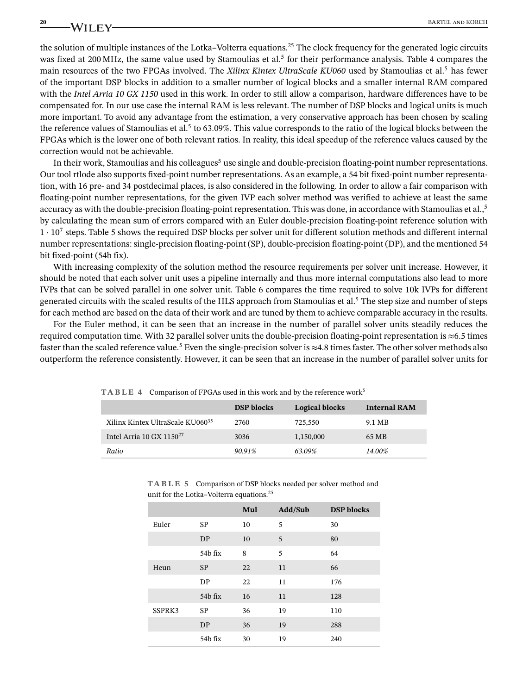the solution of multiple instances of the Lotka–Volterra equations.25 The clock frequency for the generated logic circuits was fixed at 200 MHz, the same value used by Stamoulias et al.<sup>5</sup> for their performance analysis. Table 4 compares the main resources of the two FPGAs involved. The *Xilinx Kintex UltraScale KU060* used by Stamoulias et al.<sup>5</sup> has fewer of the important DSP blocks in addition to a smaller number of logical blocks and a smaller internal RAM compared with the *Intel Arria 10 GX 1150* used in this work. In order to still allow a comparison, hardware differences have to be compensated for. In our use case the internal RAM is less relevant. The number of DSP blocks and logical units is much more important. To avoid any advantage from the estimation, a very conservative approach has been chosen by scaling the reference values of Stamoulias et al.<sup>5</sup> to 63.09%. This value corresponds to the ratio of the logical blocks between the FPGAs which is the lower one of both relevant ratios. In reality, this ideal speedup of the reference values caused by the correction would not be achievable.

In their work, Stamoulias and his colleagues<sup>5</sup> use single and double-precision floating-point number representations. Our tool rtlode also supports fixed-point number representations. As an example, a 54 bit fixed-point number representation, with 16 pre- and 34 postdecimal places, is also considered in the following. In order to allow a fair comparison with floating-point number representations, for the given IVP each solver method was verified to achieve at least the same accuracy as with the double-precision floating-point representation. This was done, in accordance with Stamoulias et al.,<sup>5</sup> by calculating the mean sum of errors compared with an Euler double-precision floating-point reference solution with 1 ⋅ 107 steps. Table 5 shows the required DSP blocks per solver unit for different solution methods and different internal number representations: single-precision floating-point (SP), double-precision floating-point (DP), and the mentioned 54 bit fixed-point (54b fix).

With increasing complexity of the solution method the resource requirements per solver unit increase. However, it should be noted that each solver unit uses a pipeline internally and thus more internal computations also lead to more IVPs that can be solved parallel in one solver unit. Table 6 compares the time required to solve 10k IVPs for different generated circuits with the scaled results of the HLS approach from Stamoulias et al.5 The step size and number of steps for each method are based on the data of their work and are tuned by them to achieve comparable accuracy in the results.

For the Euler method, it can be seen that an increase in the number of parallel solver units steadily reduces the required computation time. With 32 parallel solver units the double-precision floating-point representation is ≈6.5 times faster than the scaled reference value.5 Even the single-precision solver is ≈4.8 times faster. The other solver methods also outperform the reference consistently. However, it can be seen that an increase in the number of parallel solver units for

|                                              | <b>DSP</b> blocks | Logical blocks | <b>Internal RAM</b> |
|----------------------------------------------|-------------------|----------------|---------------------|
| Xilinx Kintex UltraScale KU060 <sup>35</sup> | 2760              | 725,550        | 9.1 MB              |
| Intel Arria 10 GX $1150^{27}$                | 3036              | 1,150,000      | 65 MB               |
| Ratio                                        | 90.91%            | 63.09%         | 14.00%              |

**TABLE 4** Comparison of FPGAs used in this work and by the reference work<sup>5</sup>

**TABLE 5** Comparison of DSP blocks needed per solver method and unit for the Lotka–Volterra equations.25

|        |           | Mul | Add/Sub | <b>DSP</b> blocks |
|--------|-----------|-----|---------|-------------------|
| Euler  | <b>SP</b> | 10  | 5       | 30                |
|        | DP        | 10  | 5       | 80                |
|        | $54b$ fix | 8   | 5       | 64                |
| Heun   | <b>SP</b> | 22  | 11      | 66                |
|        | DP        | 22  | 11      | 176               |
|        | 54b fix   | 16  | 11      | 128               |
| SSPRK3 | <b>SP</b> | 36  | 19      | 110               |
|        | DP        | 36  | 19      | 288               |
|        | $54b$ fix | 30  | 19      | 240               |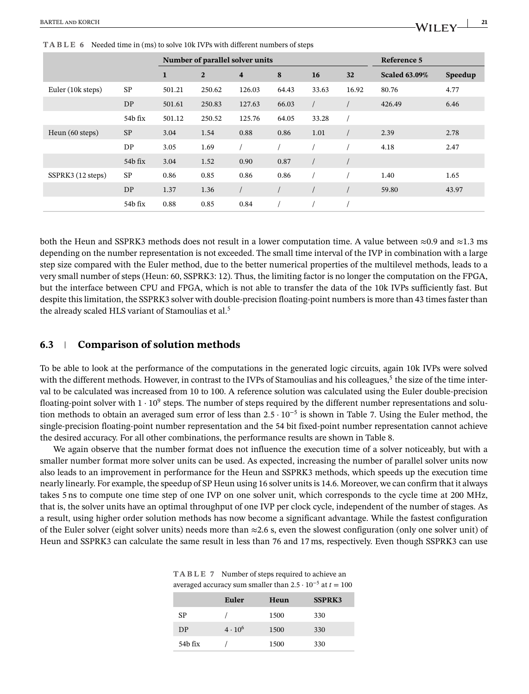**TABLE 6** Needed time in (ms) to solve 10k IVPs with different numbers of steps

|                   |           |              | Number of parallel solver units |                         |       |       |       | Reference 5          |         |
|-------------------|-----------|--------------|---------------------------------|-------------------------|-------|-------|-------|----------------------|---------|
|                   |           | $\mathbf{1}$ | $\overline{2}$                  | $\overline{\mathbf{4}}$ | 8     | 16    | 32    | <b>Scaled 63.09%</b> | Speedup |
| Euler (10k steps) | <b>SP</b> | 501.21       | 250.62                          | 126.03                  | 64.43 | 33.63 | 16.92 | 80.76                | 4.77    |
|                   | DP        | 501.61       | 250.83                          | 127.63                  | 66.03 |       |       | 426.49               | 6.46    |
|                   | 54b fix   | 501.12       | 250.52                          | 125.76                  | 64.05 | 33.28 |       |                      |         |
| Heun (60 steps)   | <b>SP</b> | 3.04         | 1.54                            | 0.88                    | 0.86  | 1.01  |       | 2.39                 | 2.78    |
|                   | DP        | 3.05         | 1.69                            |                         |       |       |       | 4.18                 | 2.47    |
|                   | 54b fix   | 3.04         | 1.52                            | 0.90                    | 0.87  |       |       |                      |         |
| SSPRK3 (12 steps) | <b>SP</b> | 0.86         | 0.85                            | 0.86                    | 0.86  |       |       | 1.40                 | 1.65    |
|                   | DP        | 1.37         | 1.36                            |                         |       |       |       | 59.80                | 43.97   |
|                   | 54b fix   | 0.88         | 0.85                            | 0.84                    |       |       |       |                      |         |

both the Heun and SSPRK3 methods does not result in a lower computation time. A value between ≈0.9 and ≈1.3 ms depending on the number representation is not exceeded. The small time interval of the IVP in combination with a large step size compared with the Euler method, due to the better numerical properties of the multilevel methods, leads to a very small number of steps (Heun: 60, SSPRK3: 12). Thus, the limiting factor is no longer the computation on the FPGA, but the interface between CPU and FPGA, which is not able to transfer the data of the 10k IVPs sufficiently fast. But despite this limitation, the SSPRK3 solver with double-precision floating-point numbers is more than 43 times faster than the already scaled HLS variant of Stamoulias et al.<sup>5</sup>

#### **6.3 Comparison of solution methods**

To be able to look at the performance of the computations in the generated logic circuits, again 10k IVPs were solved with the different methods. However, in contrast to the IVPs of Stamoulias and his colleagues,<sup>5</sup> the size of the time interval to be calculated was increased from 10 to 100. A reference solution was calculated using the Euler double-precision floating-point solver with  $1 \cdot 10^9$  steps. The number of steps required by the different number representations and solution methods to obtain an averaged sum error of less than 2*.*5 ⋅ 10<sup>−</sup><sup>5</sup> is shown in Table 7. Using the Euler method, the single-precision floating-point number representation and the 54 bit fixed-point number representation cannot achieve the desired accuracy. For all other combinations, the performance results are shown in Table 8.

We again observe that the number format does not influence the execution time of a solver noticeably, but with a smaller number format more solver units can be used. As expected, increasing the number of parallel solver units now also leads to an improvement in performance for the Heun and SSPRK3 methods, which speeds up the execution time nearly linearly. For example, the speedup of SP Heun using 16 solver units is 14.6. Moreover, we can confirm that it always takes 5 ns to compute one time step of one IVP on one solver unit, which corresponds to the cycle time at 200 MHz, that is, the solver units have an optimal throughput of one IVP per clock cycle, independent of the number of stages. As a result, using higher order solution methods has now become a significant advantage. While the fastest configuration of the Euler solver (eight solver units) needs more than  $\approx$  2.6 s, even the slowest configuration (only one solver unit) of Heun and SSPRK3 can calculate the same result in less than 76 and 17 ms, respectively. Even though SSPRK3 can use

|         | Euler          | Heun | <b>SSPRK3</b> |
|---------|----------------|------|---------------|
| SP      |                | 1500 | 330           |
| DP      | $4 \cdot 10^6$ | 1500 | 330           |
| 54b fix |                | 1500 | 330           |

**TABLE 7** Number of steps required to achieve an averaged accuracy sum smaller than  $2.5 \cdot 10^{-5}$  at  $t = 100$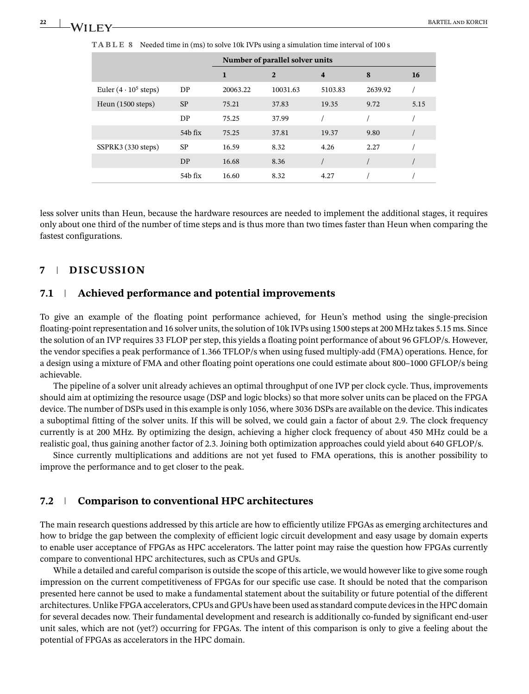**TABLE 8** Needed time in (ms) to solve 10k IVPs using a simulation time interval of 100 s

| <b>BARTEL AND KORCH</b> |
|-------------------------|
|                         |

|                                      |           | Number of parallel solver units |                |                         |         |      |  |
|--------------------------------------|-----------|---------------------------------|----------------|-------------------------|---------|------|--|
|                                      |           | 1                               | $\overline{2}$ | $\overline{\mathbf{4}}$ | 8       | 16   |  |
| Euler $(4 \cdot 10^5 \text{ steps})$ | DP        | 20063.22                        | 10031.63       | 5103.83                 | 2639.92 |      |  |
| Heun (1500 steps)                    | <b>SP</b> | 75.21                           | 37.83          | 19.35                   | 9.72    | 5.15 |  |
|                                      | DP        | 75.25                           | 37.99          |                         |         |      |  |
|                                      | $54b$ fix | 75.25                           | 37.81          | 19.37                   | 9.80    |      |  |
| SSPRK3 (330 steps)                   | <b>SP</b> | 16.59                           | 8.32           | 4.26                    | 2.27    |      |  |
|                                      | DP        | 16.68                           | 8.36           |                         |         |      |  |
|                                      | 54b fix   | 16.60                           | 8.32           | 4.27                    |         |      |  |

less solver units than Heun, because the hardware resources are needed to implement the additional stages, it requires only about one third of the number of time steps and is thus more than two times faster than Heun when comparing the fastest configurations.

# **7 DISCUSSION**

# **7.1 Achieved performance and potential improvements**

To give an example of the floating point performance achieved, for Heun's method using the single-precision floating-point representation and 16 solver units, the solution of 10k IVPs using 1500 steps at 200 MHz takes 5.15 ms. Since the solution of an IVP requires 33 FLOP per step, this yields a floating point performance of about 96 GFLOP/s. However, the vendor specifies a peak performance of 1.366 TFLOP/s when using fused multiply-add (FMA) operations. Hence, for a design using a mixture of FMA and other floating point operations one could estimate about 800–1000 GFLOP/s being achievable.

The pipeline of a solver unit already achieves an optimal throughput of one IVP per clock cycle. Thus, improvements should aim at optimizing the resource usage (DSP and logic blocks) so that more solver units can be placed on the FPGA device. The number of DSPs used in this example is only 1056, where 3036 DSPs are available on the device. This indicates a suboptimal fitting of the solver units. If this will be solved, we could gain a factor of about 2.9. The clock frequency currently is at 200 MHz. By optimizing the design, achieving a higher clock frequency of about 450 MHz could be a realistic goal, thus gaining another factor of 2.3. Joining both optimization approaches could yield about 640 GFLOP/s.

Since currently multiplications and additions are not yet fused to FMA operations, this is another possibility to improve the performance and to get closer to the peak.

# **7.2 Comparison to conventional HPC architectures**

The main research questions addressed by this article are how to efficiently utilize FPGAs as emerging architectures and how to bridge the gap between the complexity of efficient logic circuit development and easy usage by domain experts to enable user acceptance of FPGAs as HPC accelerators. The latter point may raise the question how FPGAs currently compare to conventional HPC architectures, such as CPUs and GPUs.

While a detailed and careful comparison is outside the scope of this article, we would however like to give some rough impression on the current competitiveness of FPGAs for our specific use case. It should be noted that the comparison presented here cannot be used to make a fundamental statement about the suitability or future potential of the different architectures. Unlike FPGA accelerators, CPUs and GPUs have been used as standard compute devices in the HPC domain for several decades now. Their fundamental development and research is additionally co-funded by significant end-user unit sales, which are not (yet?) occurring for FPGAs. The intent of this comparison is only to give a feeling about the potential of FPGAs as accelerators in the HPC domain.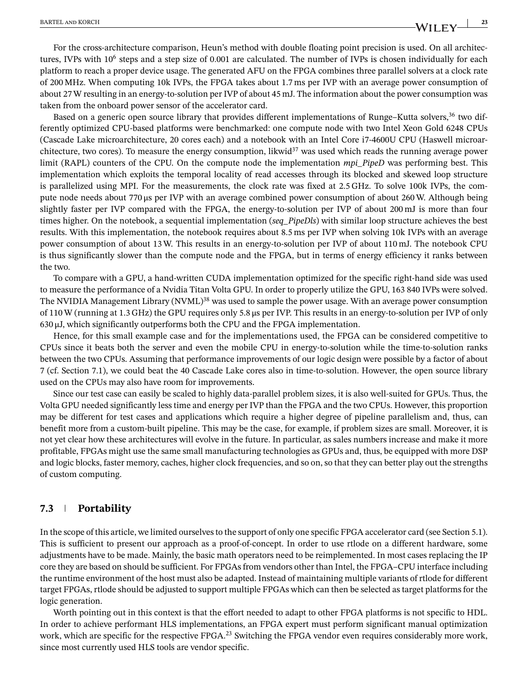For the cross-architecture comparison, Heun's method with double floating point precision is used. On all architectures, IVPs with 106 steps and a step size of 0*.*001 are calculated. The number of IVPs is chosen individually for each platform to reach a proper device usage. The generated AFU on the FPGA combines three parallel solvers at a clock rate of 200 MHz. When computing 10k IVPs, the FPGA takes about 1.7 ms per IVP with an average power consumption of about 27 W resulting in an energy-to-solution per IVP of about 45 mJ. The information about the power consumption was taken from the onboard power sensor of the accelerator card.

Based on a generic open source library that provides different implementations of Runge–Kutta solvers,<sup>36</sup> two differently optimized CPU-based platforms were benchmarked: one compute node with two Intel Xeon Gold 6248 CPUs (Cascade Lake microarchitecture, 20 cores each) and a notebook with an Intel Core i7-4600U CPU (Haswell microarchitecture, two cores). To measure the energy consumption, likwid $37$  was used which reads the running average power limit (RAPL) counters of the CPU. On the compute node the implementation *mpi\_PipeD* was performing best. This implementation which exploits the temporal locality of read accesses through its blocked and skewed loop structure is parallelized using MPI. For the measurements, the clock rate was fixed at 2.5 GHz. To solve 100k IVPs, the compute node needs about 770 μs per IVP with an average combined power consumption of about 260 W. Although being slightly faster per IVP compared with the FPGA, the energy-to-solution per IVP of about 200 mJ is more than four times higher. On the notebook, a sequential implementation (*seq\_PipeDls*) with similar loop structure achieves the best results. With this implementation, the notebook requires about 8.5 ms per IVP when solving 10k IVPs with an average power consumption of about 13 W. This results in an energy-to-solution per IVP of about 110 mJ. The notebook CPU is thus significantly slower than the compute node and the FPGA, but in terms of energy efficiency it ranks between the two.

To compare with a GPU, a hand-written CUDA implementation optimized for the specific right-hand side was used to measure the performance of a Nvidia Titan Volta GPU. In order to properly utilize the GPU, 163 840 IVPs were solved. The NVIDIA Management Library (NVML)<sup>38</sup> was used to sample the power usage. With an average power consumption of 110 W (running at 1.3 GHz) the GPU requires only 5.8 μs per IVP. This results in an energy-to-solution per IVP of only 630 μJ, which significantly outperforms both the CPU and the FPGA implementation.

Hence, for this small example case and for the implementations used, the FPGA can be considered competitive to CPUs since it beats both the server and even the mobile CPU in energy-to-solution while the time-to-solution ranks between the two CPUs. Assuming that performance improvements of our logic design were possible by a factor of about 7 (cf. Section 7.1), we could beat the 40 Cascade Lake cores also in time-to-solution. However, the open source library used on the CPUs may also have room for improvements.

Since our test case can easily be scaled to highly data-parallel problem sizes, it is also well-suited for GPUs. Thus, the Volta GPU needed significantly less time and energy per IVP than the FPGA and the two CPUs. However, this proportion may be different for test cases and applications which require a higher degree of pipeline parallelism and, thus, can benefit more from a custom-built pipeline. This may be the case, for example, if problem sizes are small. Moreover, it is not yet clear how these architectures will evolve in the future. In particular, as sales numbers increase and make it more profitable, FPGAs might use the same small manufacturing technologies as GPUs and, thus, be equipped with more DSP and logic blocks, faster memory, caches, higher clock frequencies, and so on, so that they can better play out the strengths of custom computing.

#### **7.3 Portability**

In the scope of this article, we limited ourselves to the support of only one specific FPGA accelerator card (see Section 5.1). This is sufficient to present our approach as a proof-of-concept. In order to use rtlode on a different hardware, some adjustments have to be made. Mainly, the basic math operators need to be reimplemented. In most cases replacing the IP core they are based on should be sufficient. For FPGAs from vendors other than Intel, the FPGA–CPU interface including the runtime environment of the host must also be adapted. Instead of maintaining multiple variants of rtlode for different target FPGAs, rtlode should be adjusted to support multiple FPGAs which can then be selected as target platforms for the logic generation.

Worth pointing out in this context is that the effort needed to adapt to other FPGA platforms is not specific to HDL. In order to achieve performant HLS implementations, an FPGA expert must perform significant manual optimization work, which are specific for the respective FPGA.<sup>23</sup> Switching the FPGA vendor even requires considerably more work, since most currently used HLS tools are vendor specific.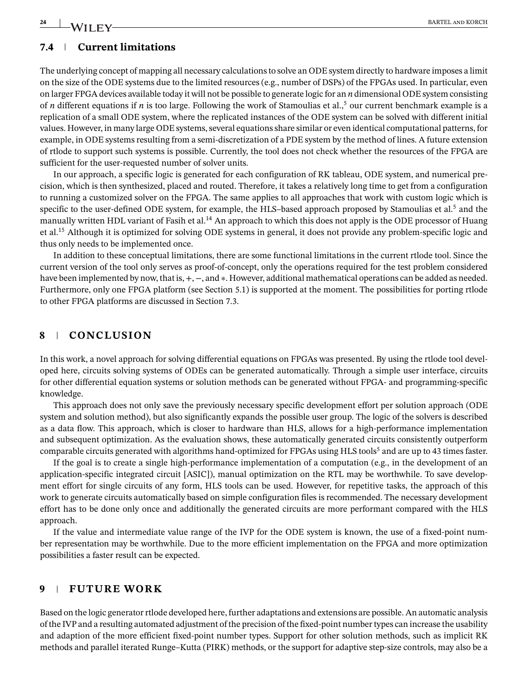# **7.4 Current limitations**

The underlying concept of mapping all necessary calculations to solve an ODE system directly to hardware imposes a limit on the size of the ODE systems due to the limited resources (e.g., number of DSPs) of the FPGAs used. In particular, even on larger FPGA devices available today it will not be possible to generate logic for an *n* dimensional ODE system consisting of *n* different equations if *n* is too large. Following the work of Stamoulias et al.,<sup>5</sup> our current benchmark example is a replication of a small ODE system, where the replicated instances of the ODE system can be solved with different initial values. However, in many large ODE systems, several equations share similar or even identical computational patterns, for example, in ODE systems resulting from a semi-discretization of a PDE system by the method of lines. A future extension of rtlode to support such systems is possible. Currently, the tool does not check whether the resources of the FPGA are sufficient for the user-requested number of solver units.

In our approach, a specific logic is generated for each configuration of RK tableau, ODE system, and numerical precision, which is then synthesized, placed and routed. Therefore, it takes a relatively long time to get from a configuration to running a customized solver on the FPGA. The same applies to all approaches that work with custom logic which is specific to the user-defined ODE system, for example, the HLS–based approach proposed by Stamoulias et al.<sup>5</sup> and the manually written HDL variant of Fasih et al.<sup>14</sup> An approach to which this does not apply is the ODE processor of Huang et al.15 Although it is optimized for solving ODE systems in general, it does not provide any problem-specific logic and thus only needs to be implemented once.

In addition to these conceptual limitations, there are some functional limitations in the current rtlode tool. Since the current version of the tool only serves as proof-of-concept, only the operations required for the test problem considered have been implemented by now, that is,+,−, and ∗. However, additional mathematical operations can be added as needed. Furthermore, only one FPGA platform (see Section 5.1) is supported at the moment. The possibilities for porting rtlode to other FPGA platforms are discussed in Section 7.3.

# **8 CONCLUSION**

In this work, a novel approach for solving differential equations on FPGAs was presented. By using the rtlode tool developed here, circuits solving systems of ODEs can be generated automatically. Through a simple user interface, circuits for other differential equation systems or solution methods can be generated without FPGA- and programming-specific knowledge.

This approach does not only save the previously necessary specific development effort per solution approach (ODE system and solution method), but also significantly expands the possible user group. The logic of the solvers is described as a data flow. This approach, which is closer to hardware than HLS, allows for a high-performance implementation and subsequent optimization. As the evaluation shows, these automatically generated circuits consistently outperform comparable circuits generated with algorithms hand-optimized for FPGAs using HLS tools<sup>5</sup> and are up to 43 times faster.

If the goal is to create a single high-performance implementation of a computation (e.g., in the development of an application-specific integrated circuit [ASIC]), manual optimization on the RTL may be worthwhile. To save development effort for single circuits of any form, HLS tools can be used. However, for repetitive tasks, the approach of this work to generate circuits automatically based on simple configuration files is recommended. The necessary development effort has to be done only once and additionally the generated circuits are more performant compared with the HLS approach.

If the value and intermediate value range of the IVP for the ODE system is known, the use of a fixed-point number representation may be worthwhile. Due to the more efficient implementation on the FPGA and more optimization possibilities a faster result can be expected.

# **9 FUTURE WORK**

Based on the logic generator rtlode developed here, further adaptations and extensions are possible. An automatic analysis of the IVP and a resulting automated adjustment of the precision of the fixed-point number types can increase the usability and adaption of the more efficient fixed-point number types. Support for other solution methods, such as implicit RK methods and parallel iterated Runge–Kutta (PIRK) methods, or the support for adaptive step-size controls, may also be a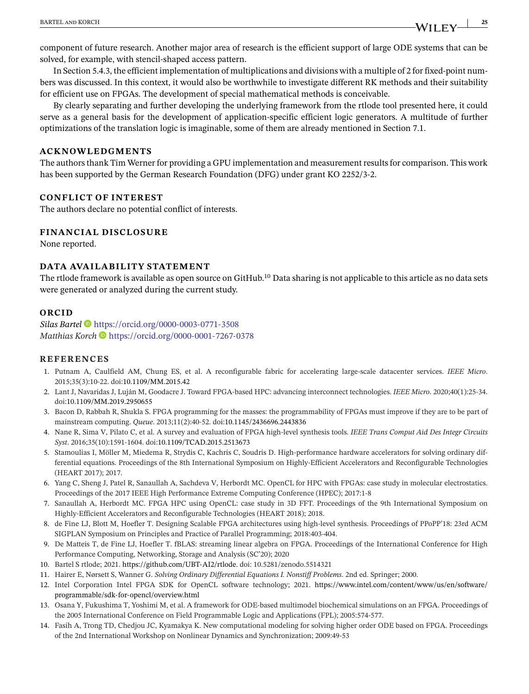BARTEL AND KORCH **25BARTEL AND KORCH** 

component of future research. Another major area of research is the efficient support of large ODE systems that can be solved, for example, with stencil-shaped access pattern.

In Section 5.4.3, the efficient implementation of multiplications and divisions with a multiple of 2 for fixed-point numbers was discussed. In this context, it would also be worthwhile to investigate different RK methods and their suitability for efficient use on FPGAs. The development of special mathematical methods is conceivable.

By clearly separating and further developing the underlying framework from the rtlode tool presented here, it could serve as a general basis for the development of application-specific efficient logic generators. A multitude of further optimizations of the translation logic is imaginable, some of them are already mentioned in Section 7.1.

# **ACKNOWLEDGMENTS**

The authors thank Tim Werner for providing a GPU implementation and measurement results for comparison. This work has been supported by the German Research Foundation (DFG) under grant KO 2252/3-2.

#### **CONFLICT OF INTEREST**

The authors declare no potential conflict of interests.

# **FINANCIAL DISCLOSURE**

None reported.

# **DATA AVAILABILITY STATEMENT**

The rtlode framework is available as open source on GitHub.<sup>10</sup> Data sharing is not applicable to this article as no data sets were generated or analyzed during the current study.

# **ORCID**

*Silas Bartel* <https://orcid.org/0000-0003-0771-3508> *Matthias Korch*  $\bullet$  <https://orcid.org/0000-0001-7267-0378>

#### **REFERENCES**

- 1. Putnam A, Caulfield AM, Chung ES, et al. A reconfigurable fabric for accelerating large-scale datacenter services. *IEEE Micro*. 2015;35(3):10-22. doi[:10.1109/MM.2015.42](http://dx.doi.org/0)
- 2. Lant J, Navaridas J, Luján M, Goodacre J. Toward FPGA-based HPC: advancing interconnect technologies. *IEEE Micro*. 2020;40(1):25-34. doi[:10.1109/MM.2019.2950655](http://dx.doi.org/0)
- 3. Bacon D, Rabbah R, Shukla S. FPGA programming for the masses: the programmability of FPGAs must improve if they are to be part of mainstream computing. *Queue*. 2013;11(2):40-52. doi[:10.1145/2436696.2443836](http://dx.doi.org/0)
- 4. Nane R, Sima V, Pilato C, et al. A survey and evaluation of FPGA high-level synthesis tools. *IEEE Trans Comput Aid Des Integr Circuits Syst*. 2016;35(10):1591-1604. doi[:10.1109/TCAD.2015.2513673](http://dx.doi.org/0)
- 5. Stamoulias I, Möller M, Miedema R, Strydis C, Kachris C, Soudris D. High-performance hardware accelerators for solving ordinary differential equations. Proceedings of the 8th International Symposium on Highly-Efficient Accelerators and Reconfigurable Technologies (HEART 2017); 2017.
- 6. Yang C, Sheng J, Patel R, Sanaullah A, Sachdeva V, Herbordt MC. OpenCL for HPC with FPGAs: case study in molecular electrostatics. Proceedings of the 2017 IEEE High Performance Extreme Computing Conference (HPEC); 2017:1-8
- 7. Sanaullah A, Herbordt MC. FPGA HPC using OpenCL: case study in 3D FFT. Proceedings of the 9th International Symposium on Highly-Efficient Accelerators and Reconfigurable Technologies (HEART 2018); 2018.
- 8. de Fine LJ, Blott M, Hoefler T. Designing Scalable FPGA architectures using high-level synthesis. Proceedings of PPoPP'18: 23rd ACM SIGPLAN Symposium on Principles and Practice of Parallel Programming; 2018:403-404.
- 9. De Matteis T, de Fine LJ, Hoefler T. fBLAS: streaming linear algebra on FPGA. Proceedings of the International Conference for High Performance Computing, Networking, Storage and Analysis (SC'20); 2020
- 10. Bartel S rtlode; 2021. <https://github.com/UBT-AI2/rtlode.> doi: 10.5281/zenodo.5514321
- 11. Hairer E, Nørsett S, Wanner G. *Solving Ordinary Differential Equations I. Nonstiff Problems*. 2nd ed. Springer; 2000.
- 12. Intel Corporation Intel FPGA SDK for OpenCL software technology; 2021. [https://www.intel.com/content/www/us/en/software/](https://www.intel.com/content/www/us/en/software/programmable/sdk-for-opencl/overview.html) [programmable/sdk-for-opencl/overview.html](https://www.intel.com/content/www/us/en/software/programmable/sdk-for-opencl/overview.html)
- 13. Osana Y, Fukushima T, Yoshimi M, et al. A framework for ODE-based multimodel biochemical simulations on an FPGA. Proceedings of the 2005 International Conference on Field Programmable Logic and Applications (FPL); 2005:574-577.
- 14. Fasih A, Trong TD, Chedjou JC, Kyamakya K. New computational modeling for solving higher order ODE based on FPGA. Proceedings of the 2nd International Workshop on Nonlinear Dynamics and Synchronization; 2009:49-53